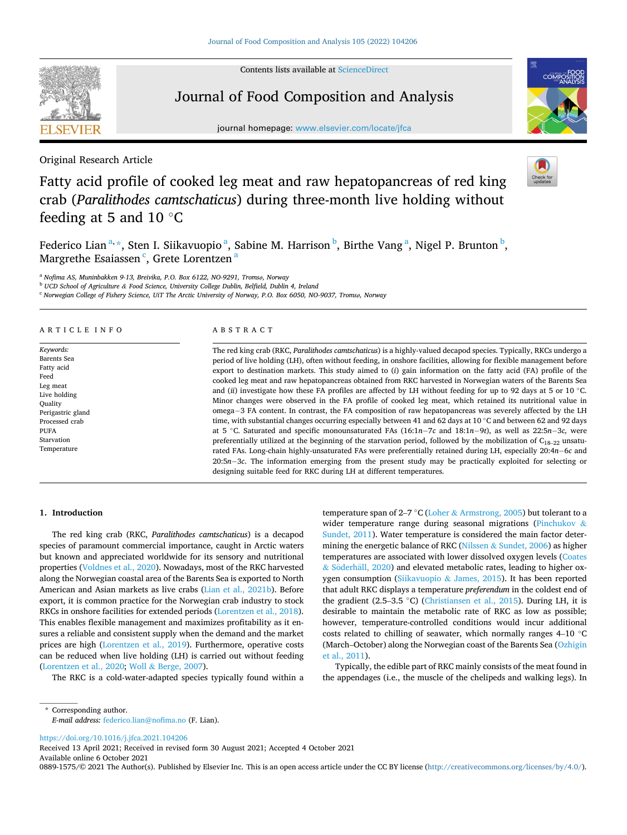Contents lists available at [ScienceDirect](www.sciencedirect.com/science/journal/08891575)



## Journal of Food Composition and Analysis

journal homepage: [www.elsevier.com/locate/jfca](https://www.elsevier.com/locate/jfca) 





Original Research Article

# Fatty acid profile of cooked leg meat and raw hepatopancreas of red king crab (*Paralithodes camtschaticus*) during three-month live holding without feeding at 5 and 10  $\degree$ C

Federico Lian<sup>a, \*</sup>, Sten I. Siikavuopio<sup>a</sup>, Sabine M. Harrison<sup>b</sup>, Birthe Vang<sup>a</sup>, Nigel P. Brunton<sup>b</sup>, Margrethe Esaiassen <sup>c</sup>, Grete Lorentzen <sup>a</sup>

<sup>a</sup> *Nofima AS, Muninbakken 9-13, Breivika, P.O. Box 6122, NO-9291, Tromsø, Norway* 

<sup>b</sup> *UCD School of Agriculture & Food Science, University College Dublin, Belfield, Dublin 4, Ireland* 

<sup>c</sup> *Norwegian College of Fishery Science, UiT The Arctic University of Norway, P.O. Box 6050, NO-9037, Tromsø, Norway* 

#### ARTICLE INFO

*Keywords:*  Barents Sea Fatty acid Feed Leg meat Live holding Quality Perigastric gland Processed crab PUFA Starvation Temperature

#### ABSTRACT

The red king crab (RKC, *Paralithodes camtschaticus*) is a highly-valued decapod species. Typically, RKCs undergo a period of live holding (LH), often without feeding, in onshore facilities, allowing for flexible management before export to destination markets. This study aimed to (*i*) gain information on the fatty acid (FA) profile of the cooked leg meat and raw hepatopancreas obtained from RKC harvested in Norwegian waters of the Barents Sea and (*ii*) investigate how these FA profiles are affected by LH without feeding for up to 92 days at 5 or 10 ◦C. Minor changes were observed in the FA profile of cooked leg meat, which retained its nutritional value in omega− 3 FA content. In contrast, the FA composition of raw hepatopancreas was severely affected by the LH time, with substantial changes occurring especially between 41 and 62 days at 10 ◦C and between 62 and 92 days at 5 ◦C. Saturated and specific monounsaturated FAs (16:1*n*− 7*c* and 18:1*n*− 9*t*), as well as 22:5*n*− 3*c,* were preferentially utilized at the beginning of the starvation period, followed by the mobilization of  $C_{18-22}$  unsaturated FAs. Long-chain highly-unsaturated FAs were preferentially retained during LH, especially 20:4*n*− 6*c* and 20:5*n*− 3*c*. The information emerging from the present study may be practically exploited for selecting or designing suitable feed for RKC during LH at different temperatures.

## **1. Introduction**

The red king crab (RKC, *Paralithodes camtschaticus*) is a decapod species of paramount commercial importance, caught in Arctic waters but known and appreciated worldwide for its sensory and nutritional properties [\(Voldnes et al., 2020](#page-10-0)). Nowadays, most of the RKC harvested along the Norwegian coastal area of the Barents Sea is exported to North American and Asian markets as live crabs [\(Lian et al., 2021b\)](#page-9-0). Before export, it is common practice for the Norwegian crab industry to stock RKCs in onshore facilities for extended periods ([Lorentzen et al., 2018](#page-9-0)). This enables flexible management and maximizes profitability as it ensures a reliable and consistent supply when the demand and the market prices are high ([Lorentzen et al., 2019](#page-9-0)). Furthermore, operative costs can be reduced when live holding (LH) is carried out without feeding ([Lorentzen et al., 2020](#page-9-0); Woll & [Berge, 2007\)](#page-10-0).

The RKC is a cold-water-adapted species typically found within a

temperature span of 2–7 °C (Loher & [Armstrong, 2005](#page-9-0)) but tolerant to a wider temperature range during seasonal migrations ([Pinchukov](#page-9-0) & [Sundet, 2011\)](#page-9-0). Water temperature is considered the main factor determining the energetic balance of RKC (Nilssen & [Sundet, 2006\)](#page-9-0) as higher temperatures are associated with lower dissolved oxygen levels ([Coates](#page-8-0)   $&$  Söderhäll, 2020) and elevated metabolic rates, leading to higher oxygen consumption (Siikavuopio & [James, 2015\)](#page-9-0). It has been reported that adult RKC displays a temperature *preferendum* in the coldest end of the gradient (2.5–3.5 ◦C) ([Christiansen et al., 2015](#page-8-0)). During LH, it is desirable to maintain the metabolic rate of RKC as low as possible; however, temperature-controlled conditions would incur additional costs related to chilling of seawater, which normally ranges 4–10 ◦C (March–October) along the Norwegian coast of the Barents Sea [\(Ozhigin](#page-9-0)  [et al., 2011\)](#page-9-0).

Typically, the edible part of RKC mainly consists of the meat found in the appendages (i.e., the muscle of the chelipeds and walking legs). In

<https://doi.org/10.1016/j.jfca.2021.104206>

Available online 6 October 2021 Received 13 April 2021; Received in revised form 30 August 2021; Accepted 4 October 2021

0889-1575/© 2021 The Author(s). Published by Elsevier Inc. This is an open access article under the CC BY license [\(http://creativecommons.org/licenses/by/4.0/\)](http://creativecommons.org/licenses/by/4.0/).



<sup>\*</sup> Corresponding author. *E-mail address:* [federico.lian@nofima.no](mailto:federico.lian@nofima.no) (F. Lian).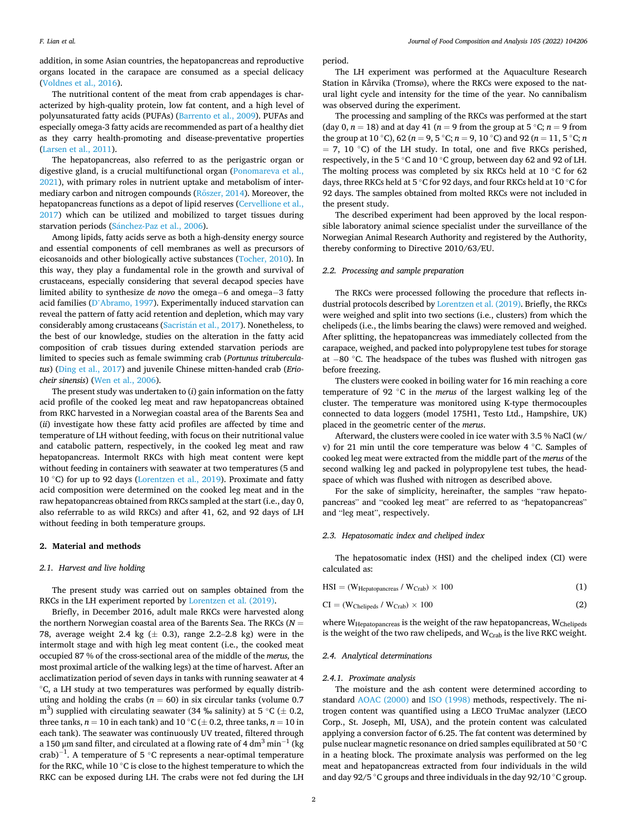#### *F. Lian et al.*

addition, in some Asian countries, the hepatopancreas and reproductive organs located in the carapace are consumed as a special delicacy ([Voldnes et al., 2016](#page-10-0)).

The nutritional content of the meat from crab appendages is characterized by high-quality protein, low fat content, and a high level of polyunsaturated fatty acids (PUFAs) [\(Barrento et al., 2009\)](#page-8-0). PUFAs and especially omega-3 fatty acids are recommended as part of a healthy diet as they carry health-promoting and disease-preventative properties ([Larsen et al., 2011](#page-9-0)).

The hepatopancreas, also referred to as the perigastric organ or digestive gland, is a crucial multifunctional organ ([Ponomareva et al.,](#page-9-0)  [2021\)](#page-9-0), with primary roles in nutrient uptake and metabolism of intermediary carbon and nitrogen compounds (Rőszer, 2014). Moreover, the hepatopancreas functions as a depot of lipid reserves (Cervellione et al., [2017\)](#page-8-0) which can be utilized and mobilized to target tissues during starvation periods (Sánchez-Paz et al., 2006).

Among lipids, fatty acids serve as both a high-density energy source and essential components of cell membranes as well as precursors of eicosanoids and other biologically active substances ([Tocher, 2010\)](#page-10-0). In this way, they play a fundamental role in the growth and survival of crustaceans, especially considering that several decapod species have limited ability to synthesize *de novo* the omega− 6 and omega− 3 fatty acid families (D'[Abramo, 1997\)](#page-8-0). Experimentally induced starvation can reveal the pattern of fatty acid retention and depletion, which may vary considerably among crustaceans (Sacristán [et al., 2017](#page-9-0)). Nonetheless, to the best of our knowledge, studies on the alteration in the fatty acid composition of crab tissues during extended starvation periods are limited to species such as female swimming crab (*Portunus trituberculatus*) ([Ding et al., 2017](#page-8-0)) and juvenile Chinese mitten-handed crab (*Eriocheir sinensis*) ([Wen et al., 2006](#page-10-0)).

The present study was undertaken to (*i*) gain information on the fatty acid profile of the cooked leg meat and raw hepatopancreas obtained from RKC harvested in a Norwegian coastal area of the Barents Sea and (*ii*) investigate how these fatty acid profiles are affected by time and temperature of LH without feeding, with focus on their nutritional value and catabolic pattern, respectively, in the cooked leg meat and raw hepatopancreas. Intermolt RKCs with high meat content were kept without feeding in containers with seawater at two temperatures (5 and 10 ◦C) for up to 92 days [\(Lorentzen et al., 2019\)](#page-9-0). Proximate and fatty acid composition were determined on the cooked leg meat and in the raw hepatopancreas obtained from RKCs sampled at the start (i.e., day 0, also referrable to as wild RKCs) and after 41, 62, and 92 days of LH without feeding in both temperature groups.

## **2. Material and methods**

## *2.1. Harvest and live holding*

The present study was carried out on samples obtained from the RKCs in the LH experiment reported by [Lorentzen et al. \(2019\).](#page-9-0)

Briefly, in December 2016, adult male RKCs were harvested along the northern Norwegian coastal area of the Barents Sea. The RKCs (*N* = 78, average weight 2.4 kg  $(\pm 0.3)$ , range 2.2–2.8 kg) were in the intermolt stage and with high leg meat content (i.e., the cooked meat occupied 87 % of the cross-sectional area of the middle of the *merus,* the most proximal article of the walking legs) at the time of harvest. After an acclimatization period of seven days in tanks with running seawater at 4 ◦C, a LH study at two temperatures was performed by equally distributing and holding the crabs  $(n = 60)$  in six circular tanks (volume 0.7) m $^3$ ) supplied with circulating seawater (34 ‰ salinity) at 5  $^{\circ}$ C ( $\pm$  0.2, three tanks,  $n = 10$  in each tank) and  $10 °C (\pm 0.2)$ , three tanks,  $n = 10$  in each tank). The seawater was continuously UV treated, filtered through a 150 μm sand filter, and circulated at a flowing rate of 4  $\text{dm}^3 \text{min}^{-1}$  (kg crab)<sup>-1</sup>. A temperature of 5 °C represents a near-optimal temperature for the RKC, while 10  $\degree$ C is close to the highest temperature to which the RKC can be exposed during LH. The crabs were not fed during the LH

period.

The LH experiment was performed at the Aquaculture Research Station in Kårvika (Tromsø), where the RKCs were exposed to the natural light cycle and intensity for the time of the year. No cannibalism was observed during the experiment.

The processing and sampling of the RKCs was performed at the start (day 0,  $n = 18$ ) and at day 41 ( $n = 9$  from the group at 5 °C;  $n = 9$  from the group at 10 °C), 62 ( $n = 9, 5$  °C;  $n = 9, 10$  °C) and 92 ( $n = 11, 5$  °C;  $n = 10$  $= 7, 10 °C$ ) of the LH study. In total, one and five RKCs perished, respectively, in the 5 ◦C and 10 ◦C group, between day 62 and 92 of LH. The molting process was completed by six RKCs held at 10  $°C$  for 62 days, three RKCs held at 5 ◦C for 92 days, and four RKCs held at 10 ◦C for 92 days. The samples obtained from molted RKCs were not included in the present study.

The described experiment had been approved by the local responsible laboratory animal science specialist under the surveillance of the Norwegian Animal Research Authority and registered by the Authority, thereby conforming to Directive 2010/63/EU.

## *2.2. Processing and sample preparation*

The RKCs were processed following the procedure that reflects industrial protocols described by [Lorentzen et al. \(2019\).](#page-9-0) Briefly, the RKCs were weighed and split into two sections (i.e., clusters) from which the chelipeds (i.e., the limbs bearing the claws) were removed and weighed. After splitting, the hepatopancreas was immediately collected from the carapace, weighed, and packed into polypropylene test tubes for storage at − 80 ◦C. The headspace of the tubes was flushed with nitrogen gas before freezing.

The clusters were cooked in boiling water for 16 min reaching a core temperature of 92 ◦C in the *merus* of the largest walking leg of the cluster. The temperature was monitored using K-type thermocouples connected to data loggers (model 175H1, Testo Ltd., Hampshire, UK) placed in the geometric center of the *merus*.

Afterward, the clusters were cooled in ice water with 3.5 % NaCl (w/ v) for 21 min until the core temperature was below 4 ◦C. Samples of cooked leg meat were extracted from the middle part of the *merus* of the second walking leg and packed in polypropylene test tubes, the headspace of which was flushed with nitrogen as described above.

For the sake of simplicity, hereinafter, the samples "raw hepatopancreas" and "cooked leg meat" are referred to as "hepatopancreas" and "leg meat", respectively.

#### *2.3. Hepatosomatic index and cheliped index*

The hepatosomatic index (HSI) and the cheliped index (CI) were calculated as:

| $\text{HSI} = (\text{W}_{\text{Hepatopanceas}} / \text{W}_{\text{Crab}}) \times 100$ |  |
|--------------------------------------------------------------------------------------|--|
|--------------------------------------------------------------------------------------|--|

 $CI = (W_{Chelipeds} / W_{Crab}) \times 100$  (2)

where W<sub>Hepatopancreas</sub> is the weight of the raw hepatopancreas, W<sub>Chelipeds</sub> is the weight of the two raw chelipeds, and  $W_{Crab}$  is the live RKC weight.

## *2.4. Analytical determinations*

#### *2.4.1. Proximate analysis*

The moisture and the ash content were determined according to standard [AOAC \(2000\)](#page-8-0) and [ISO \(1998\)](#page-9-0) methods, respectively. The nitrogen content was quantified using a LECO TruMac analyzer (LECO Corp., St. Joseph, MI, USA), and the protein content was calculated applying a conversion factor of 6.25. The fat content was determined by pulse nuclear magnetic resonance on dried samples equilibrated at 50 ◦C in a heating block. The proximate analysis was performed on the leg meat and hepatopancreas extracted from four individuals in the wild and day 92/5 ◦C groups and three individuals in the day 92/10 ◦C group.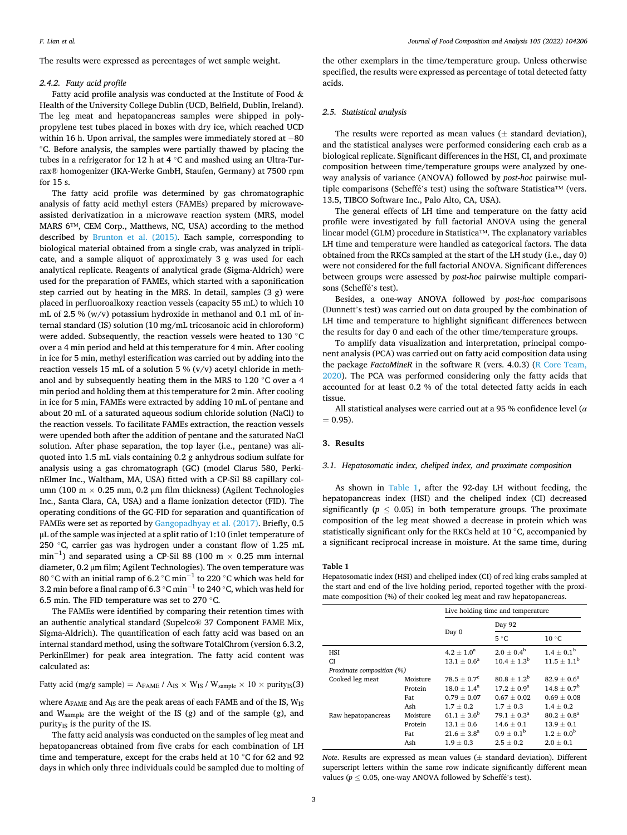<span id="page-2-0"></span>The results were expressed as percentages of wet sample weight.

## *2.4.2. Fatty acid profile*

Fatty acid profile analysis was conducted at the Institute of Food & Health of the University College Dublin (UCD, Belfield, Dublin, Ireland). The leg meat and hepatopancreas samples were shipped in polypropylene test tubes placed in boxes with dry ice, which reached UCD within 16 h. Upon arrival, the samples were immediately stored at −80 ◦C. Before analysis, the samples were partially thawed by placing the tubes in a refrigerator for 12 h at 4 ◦C and mashed using an Ultra-Turrax® homogenizer (IKA-Werke GmbH, Staufen, Germany) at 7500 rpm for 15 s.

The fatty acid profile was determined by gas chromatographic analysis of fatty acid methyl esters (FAMEs) prepared by microwaveassisted derivatization in a microwave reaction system (MRS, model MARS 6™, CEM Corp., Matthews, NC, USA) according to the method described by [Brunton et al. \(2015\)](#page-8-0). Each sample, corresponding to biological material obtained from a single crab, was analyzed in triplicate, and a sample aliquot of approximately 3 g was used for each analytical replicate. Reagents of analytical grade (Sigma-Aldrich) were used for the preparation of FAMEs, which started with a saponification step carried out by heating in the MRS. In detail, samples  $(3 \text{ g})$  were placed in perfluoroalkoxy reaction vessels (capacity 55 mL) to which 10 mL of 2.5 % (w/v) potassium hydroxide in methanol and 0.1 mL of internal standard (IS) solution (10 mg/mL tricosanoic acid in chloroform) were added. Subsequently, the reaction vessels were heated to 130 ◦C over a 4 min period and held at this temperature for 4 min. After cooling in ice for 5 min, methyl esterification was carried out by adding into the reaction vessels 15 mL of a solution 5 %  $(v/v)$  acetyl chloride in methanol and by subsequently heating them in the MRS to 120 ◦C over a 4 min period and holding them at this temperature for 2 min. After cooling in ice for 5 min, FAMEs were extracted by adding 10 mL of pentane and about 20 mL of a saturated aqueous sodium chloride solution (NaCl) to the reaction vessels. To facilitate FAMEs extraction, the reaction vessels were upended both after the addition of pentane and the saturated NaCl solution. After phase separation, the top layer (i.e., pentane) was aliquoted into 1.5 mL vials containing 0.2 g anhydrous sodium sulfate for analysis using a gas chromatograph (GC) (model Clarus 580, PerkinElmer Inc., Waltham, MA, USA) fitted with a CP-Sil 88 capillary column (100 m  $\times$  0.25 mm, 0.2 µm film thickness) (Agilent Technologies Inc., Santa Clara, CA, USA) and a flame ionization detector (FID). The operating conditions of the GC-FID for separation and quantification of FAMEs were set as reported by [Gangopadhyay et al. \(2017\)](#page-9-0). Briefly, 0.5 μL of the sample was injected at a split ratio of 1:10 (inlet temperature of 250 ◦C, carrier gas was hydrogen under a constant flow of 1.25 mL  $\text{min}^{-1}$ ) and separated using a CP-Sil 88 (100 m  $\times$  0.25 mm internal diameter, 0.2 μm film; Agilent Technologies). The oven temperature was 80 °C with an initial ramp of 6.2 °C min $^{-1}$  to 220 °C which was held for 3.2 min before a final ramp of 6.3  $^{\circ}$ C min $^{-1}$  to 240  $^{\circ}$ C, which was held for 6.5 min. The FID temperature was set to 270 ◦C.

The FAMEs were identified by comparing their retention times with an authentic analytical standard (Supelco® 37 Component FAME Mix, Sigma-Aldrich). The quantification of each fatty acid was based on an internal standard method, using the software TotalChrom (version 6.3.2, PerkinElmer) for peak area integration. The fatty acid content was calculated as:

Fatty acid (mg/g sample) =  $A_{FAME} / A_{IS} \times W_{IS} / W_{sample} \times 10 \times$  purity<sub>IS</sub>(3)

where  $\rm A_{FAME}$  and  $\rm A_{IS}$  are the peak areas of each FAME and of the IS,  $\rm W_{IS}$ and Wsample are the weight of the IS (g) and of the sample (g), and purity $_{IS}$  is the purity of the IS.

The fatty acid analysis was conducted on the samples of leg meat and hepatopancreas obtained from five crabs for each combination of LH time and temperature, except for the crabs held at 10 ◦C for 62 and 92 days in which only three individuals could be sampled due to molting of

the other exemplars in the time/temperature group. Unless otherwise specified, the results were expressed as percentage of total detected fatty acids.

## *2.5. Statistical analysis*

The results were reported as mean values  $(\pm$  standard deviation). and the statistical analyses were performed considering each crab as a biological replicate. Significant differences in the HSI, CI, and proximate composition between time/temperature groups were analyzed by oneway analysis of variance (ANOVA) followed by *post*-*hoc* pairwise multiple comparisons (Scheffé's test) using the software Statistica™ (vers. 13.5, TIBCO Software Inc., Palo Alto, CA, USA).

The general effects of LH time and temperature on the fatty acid profile were investigated by full factorial ANOVA using the general linear model (GLM) procedure in Statistica™. The explanatory variables LH time and temperature were handled as categorical factors. The data obtained from the RKCs sampled at the start of the LH study (i.e., day 0) were not considered for the full factorial ANOVA. Significant differences between groups were assessed by *post*-*hoc* pairwise multiple comparisons (Scheffé's test).

Besides, a one-way ANOVA followed by *post*-*hoc* comparisons (Dunnett's test) was carried out on data grouped by the combination of LH time and temperature to highlight significant differences between the results for day 0 and each of the other time/temperature groups.

To amplify data visualization and interpretation, principal component analysis (PCA) was carried out on fatty acid composition data using the package *FactoMineR* in the software R (vers. 4.0.3) ([R Core Team,](#page-9-0)  [2020\)](#page-9-0). The PCA was performed considering only the fatty acids that accounted for at least 0.2 % of the total detected fatty acids in each tissue.

All statistical analyses were carried out at a 95 % confidence level (*α*   $= 0.95$ ).

## **3. Results**

## *3.1. Hepatosomatic index, cheliped index, and proximate composition*

As shown in Table 1, after the 92-day LH without feeding, the hepatopancreas index (HSI) and the cheliped index (CI) decreased significantly ( $p \leq 0.05$ ) in both temperature groups. The proximate composition of the leg meat showed a decrease in protein which was statistically significant only for the RKCs held at 10 ◦C, accompanied by a significant reciprocal increase in moisture. At the same time, during

#### **Table 1**

Hepatosomatic index (HSI) and cheliped index (CI) of red king crabs sampled at the start and end of the live holding period, reported together with the proximate composition (%) of their cooked leg meat and raw hepatopancreas.

|                           |          | Live holding time and temperature |                        |                        |  |  |  |
|---------------------------|----------|-----------------------------------|------------------------|------------------------|--|--|--|
|                           |          | Day 92                            |                        |                        |  |  |  |
|                           |          | Day 0                             | $5^{\circ}C$           | $10^{\circ}$ C         |  |  |  |
| <b>HSI</b>                |          | $4.2 \pm 1.0^a$                   | $2.0 + 0.4^b$          | $1.4 + 0.1b$           |  |  |  |
| <b>CI</b>                 |          | $13.1 + 0.6^a$                    | $10.4 + 1.3^{b}$       | $11.5 + 1.1b$          |  |  |  |
| Proximate composition (%) |          |                                   |                        |                        |  |  |  |
| Cooked leg meat           | Moisture | $78.5 + 0.7^c$                    | $80.8 + 1.2^b$         | $82.9 + 0.6^a$         |  |  |  |
|                           | Protein  | $18.0 + 1.4^a$                    | $17.2 + 0.9^a$         | $14.8 \pm 0.7^{\rm b}$ |  |  |  |
|                           | Fat      | $0.79 + 0.07$                     | $0.67 + 0.02$          | $0.69 + 0.08$          |  |  |  |
|                           | Ash      | $1.7 \pm 0.2$                     | $1.7 \pm 0.3$          | $1.4 \pm 0.2$          |  |  |  |
| Raw hepatopancreas        | Moisture | $61.1 + 3.6^b$                    | $79.1 \pm 0.3^{\rm a}$ | $80.2 + 0.8^a$         |  |  |  |
|                           | Protein  | $13.1 + 0.6$                      | $14.6 + 0.1$           | $13.9 + 0.1$           |  |  |  |
|                           | Fat      | $21.6 + 3.8^a$                    | $0.9 + 0.1^{\rm b}$    | $1.2 \pm 0.0^{6}$      |  |  |  |
|                           | Ash      | $1.9 + 0.3$                       | $2.5 + 0.2$            | $2.0 + 0.1$            |  |  |  |

*Note*. Results are expressed as mean values (± standard deviation). Different superscript letters within the same row indicate significantly different mean values ( $p \le 0.05$ , one-way ANOVA followed by Scheffé's test).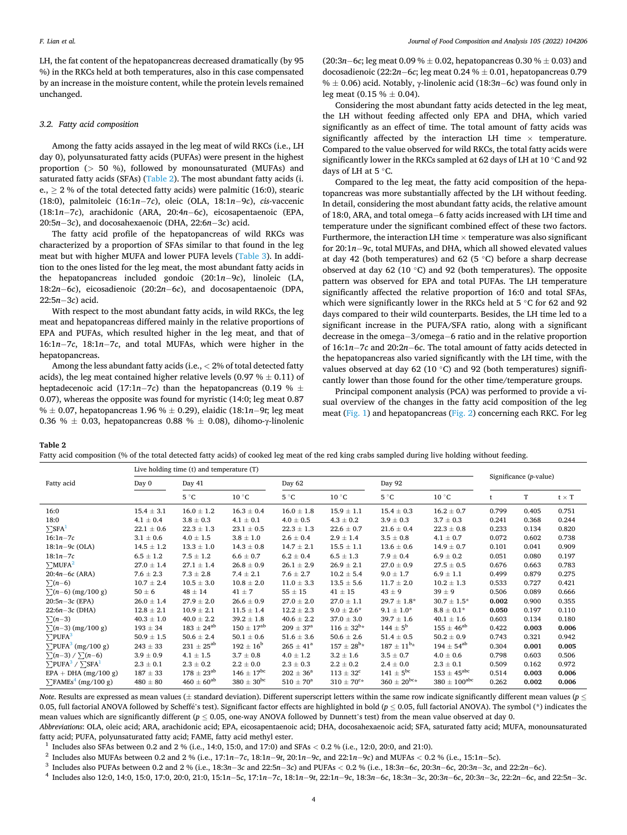LH, the fat content of the hepatopancreas decreased dramatically (by 95 %) in the RKCs held at both temperatures, also in this case compensated by an increase in the moisture content, while the protein levels remained unchanged.

#### *3.2. Fatty acid composition*

Among the fatty acids assayed in the leg meat of wild RKCs (i.e., LH day 0), polyunsaturated fatty acids (PUFAs) were present in the highest proportion (*>* 50 %), followed by monounsaturated (MUFAs) and saturated fatty acids (SFAs) (Table 2). The most abundant fatty acids (i. e.,  $\geq 2$ % of the total detected fatty acids) were palmitic (16:0), stearic (18:0), palmitoleic (16:1*n*− 7*c*), oleic (OLA, 18:1*n*− 9*c*), *cis*-vaccenic (18:1*n*− 7*c*), arachidonic (ARA, 20:4*n*− 6*c*), eicosapentaenoic (EPA, 20:5*n*− 3*c*), and docosahexaenoic (DHA, 22:6*n*− 3*c*) acid.

The fatty acid profile of the hepatopancreas of wild RKCs was characterized by a proportion of SFAs similar to that found in the leg meat but with higher MUFA and lower PUFA levels ([Table 3](#page-4-0)). In addition to the ones listed for the leg meat, the most abundant fatty acids in the hepatopancreas included gondoic (20:1*n*− 9*c*), linoleic (LA, 18:2*n*− 6*c*), eicosadienoic (20:2*n*− 6*c*), and docosapentaenoic (DPA, 22:5*n*− 3*c*) acid.

With respect to the most abundant fatty acids, in wild RKCs, the leg meat and hepatopancreas differed mainly in the relative proportions of EPA and PUFAs, which resulted higher in the leg meat, and that of 16:1*n*− 7*c*, 18:1*n*− 7*c*, and total MUFAs, which were higher in the hepatopancreas.

Among the less abundant fatty acids (i.e., *<* 2% of total detected fatty acids), the leg meat contained higher relative levels (0.97  $% \pm 0.11$ ) of heptadecenoic acid (17:1*n*−7*c*) than the hepatopancreas (0.19 %  $\pm$ 0.07), whereas the opposite was found for myristic (14:0; leg meat 0.87 % ± 0.07, hepatopancreas 1.96 % ± 0.29), elaidic (18:1*n*− 9*t*; leg meat 0.36 %  $\pm$  0.03, hepatopancreas 0.88 %  $\pm$  0.08), dihomo-γ-linolenic

(20:3*n*− 6*c*; leg meat 0.09 % ± 0.02, hepatopancreas 0.30 % ± 0.03) and docosadienoic (22:2*n*− 6*c*; leg meat 0.24 % ± 0.01, hepatopancreas 0.79 % ± 0.06) acid. Notably, γ-linolenic acid (18:3*n*− 6*c*) was found only in leg meat  $(0.15 \% \pm 0.04)$ .

Considering the most abundant fatty acids detected in the leg meat, the LH without feeding affected only EPA and DHA, which varied significantly as an effect of time. The total amount of fatty acids was significantly affected by the interaction LH time  $\times$  temperature. Compared to the value observed for wild RKCs, the total fatty acids were significantly lower in the RKCs sampled at 62 days of LH at 10 ◦C and 92 days of LH at 5 ◦C.

Compared to the leg meat, the fatty acid composition of the hepatopancreas was more substantially affected by the LH without feeding. In detail, considering the most abundant fatty acids, the relative amount of 18:0, ARA, and total omega−6 fatty acids increased with LH time and temperature under the significant combined effect of these two factors. Furthermore, the interaction LH time  $\times$  temperature was also significant for 20:1*n*− 9*c*, total MUFAs, and DHA, which all showed elevated values at day 42 (both temperatures) and 62 (5  $\degree$ C) before a sharp decrease observed at day 62 (10 $\degree$ C) and 92 (both temperatures). The opposite pattern was observed for EPA and total PUFAs. The LH temperature significantly affected the relative proportion of 16:0 and total SFAs, which were significantly lower in the RKCs held at 5 °C for 62 and 92 days compared to their wild counterparts. Besides, the LH time led to a significant increase in the PUFA/SFA ratio, along with a significant decrease in the omega− 3/omega− 6 ratio and in the relative proportion of 16:1*n*− 7*c* and 20:2*n*− 6*c*. The total amount of fatty acids detected in the hepatopancreas also varied significantly with the LH time, with the values observed at day 62 (10 $\degree$ C) and 92 (both temperatures) significantly lower than those found for the other time/temperature groups.

Principal component analysis (PCA) was performed to provide a visual overview of the changes in the fatty acid composition of the leg meat [\(Fig. 1\)](#page-4-0) and hepatopancreas [\(Fig. 2](#page-5-0)) concerning each RKC. For leg

**Table 2** 

Fatty acid composition (% of the total detected fatty acids) of cooked leg meat of the red king crabs sampled during live holding without feeding.

|                                                        | Live holding time (t) and temperature (T) |                       |                       |                      |                             |                     |                         |                        |       |              |
|--------------------------------------------------------|-------------------------------------------|-----------------------|-----------------------|----------------------|-----------------------------|---------------------|-------------------------|------------------------|-------|--------------|
| Fatty acid                                             | Day 0                                     | Day 41                |                       | Day 62               |                             | Day 92              |                         | Significance (p-value) |       |              |
|                                                        |                                           | $5^{\circ}C$          | $10^{\circ}$ C        | $5^{\circ}C$         | $10^{\circ}$ C              | 5 °C                | $10^{\circ}$ C          |                        | T     | $t \times T$ |
| 16:0                                                   | $15.4 \pm 3.1$                            | $16.0 \pm 1.2$        | $16.3 \pm 0.4$        | $16.0 \pm 1.8$       | $15.9 \pm 1.1$              | $15.4 \pm 0.3$      | $16.2 \pm 0.7$          | 0.799                  | 0.405 | 0.751        |
| 18:0                                                   | $4.1 \pm 0.4$                             | $3.8 \pm 0.3$         | $4.1 \pm 0.1$         | $4.0 \pm 0.5$        | $4.3 \pm 0.2$               | $3.9 \pm 0.3$       | $3.7 \pm 0.3$           | 0.241                  | 0.368 | 0.244        |
| $\Sigma$ SFA <sup>1</sup>                              | $22.1 \pm 0.6$                            | $22.3 \pm 1.3$        | $23.1 \pm 0.5$        | $22.3 \pm 1.3$       | $22.6 \pm 0.7$              | $21.6 \pm 0.4$      | $22.3 \pm 0.8$          | 0.233                  | 0.134 | 0.820        |
| $16:1n - 7c$                                           | $3.1 \pm 0.6$                             | $4.0 \pm 1.5$         | $3.8 \pm 1.0$         | $2.6 \pm 0.4$        | $2.9 \pm 1.4$               | $3.5 \pm 0.8$       | $4.1 \pm 0.7$           | 0.072                  | 0.602 | 0.738        |
| $18:1n-9c$ (OLA)                                       | $14.5 \pm 1.2$                            | $13.3 \pm 1.0$        | $14.3 \pm 0.8$        | $14.7 \pm 2.1$       | $15.5 \pm 1.1$              | $13.6 \pm 0.6$      | $14.9 \pm 0.7$          | 0.101                  | 0.041 | 0.909        |
| $18:1n - 7c$                                           | $6.5 \pm 1.2$                             | $7.5 \pm 1.2$         | $6.6 \pm 0.7$         | $6.2 \pm 0.4$        | $6.5 \pm 1.3$               | $7.9 \pm 0.4$       | $6.9 \pm 0.2$           | 0.051                  | 0.080 | 0.197        |
| $\Sigma M UFA^2$                                       | $27.0 \pm 1.4$                            | $27.1 \pm 1.4$        | $26.8 \pm 0.9$        | $26.1 \pm 2.9$       | $26.9 \pm 2.1$              | $27.0 \pm 0.9$      | $27.5 \pm 0.5$          | 0.676                  | 0.663 | 0.783        |
| $20:4n-6c$ (ARA)                                       | $7.6 \pm 2.3$                             | $7.3 \pm 2.8$         | $7.4 \pm 2.1$         | $7.6 \pm 2.7$        | $10.2 \pm 5.4$              | $9.0 \pm 1.7$       | $6.9 \pm 1.1$           | 0.499                  | 0.879 | 0.275        |
| $\sum (n-6)$                                           | $10.7 \pm 2.4$                            | $10.5 \pm 3.0$        | $10.8 \pm 2.0$        | $11.0 \pm 3.3$       | $13.5 \pm 5.6$              | $11.7 \pm 2.0$      | $10.2 \pm 1.3$          | 0.533                  | 0.727 | 0.421        |
| $\sum (n-6)$ (mg/100 g)                                | $50 \pm 6$                                | $48 \pm 14$           | $41 \pm 7$            | $55 \pm 15$          | $41 \pm 15$                 | $43 \pm 9$          | $39 \pm 9$              | 0.506                  | 0.089 | 0.666        |
| $20:5n-3c$ (EPA)                                       | $26.0 \pm 1.4$                            | $27.9 \pm 2.0$        | $26.6 \pm 0.9$        | $27.0 \pm 2.0$       | $27.0 \pm 1.1$              | $29.7 \pm 1.8*$     | $30.7 \pm 1.5^{*}$      | 0.002                  | 0.900 | 0.355        |
| $22:6n-3c$ (DHA)                                       | $12.8 \pm 2.1$                            | $10.9 \pm 2.1$        | $11.5 \pm 1.4$        | $12.2 \pm 2.3$       | $9.0 \pm 2.6*$              | $9.1 \pm 1.0*$      | $8.8 \pm 0.1^{*}$       | 0.050                  | 0.197 | 0.110        |
| $\sum(n-3)$                                            | $40.3 \pm 1.0$                            | $40.0 \pm 2.2$        | $39.2 \pm 1.8$        | $40.6 \pm 2.2$       | $37.0 \pm 3.0$              | $39.7 \pm 1.6$      | $40.1 \pm 1.6$          | 0.603                  | 0.134 | 0.180        |
| $\sum (n-3)$ (mg/100 g)                                | $193 \pm 34$                              | $183 \pm 24^{ab}$     | $150 \pm 17^{ab}$     | $209 \pm 37^{\rm a}$ | $116 \pm 32^{b*}$           | $144 \pm 5^{\rm b}$ | $155 \pm 46^{ab}$       | 0.422                  | 0.003 | 0.006        |
| $\Sigma$ PUFA <sup>3</sup>                             | $50.9 \pm 1.5$                            | $50.6 \pm 2.4$        | $50.1 \pm 0.6$        | $51.6 \pm 3.6$       | $50.6 \pm 2.6$              | $51.4 \pm 0.5$      | $50.2 \pm 0.9$          | 0.743                  | 0.321 | 0.942        |
| $\Sigma$ PUFA <sup>3</sup> (mg/100 g)                  | $243\pm33$                                | $231 \pm 25^{ab}$     | $192 \pm 16^{\rm b}$  | $265 \pm 41^{\rm a}$ | $157 \pm 28^{\rm b*}$       | $187 \pm 11^{b*}$   | $194 \pm 54^{ab}$       | 0.304                  | 0.001 | 0.005        |
| $\sum (n-3) / \sum (n-6)$                              | $3.9\pm0.9$                               | $4.1 \pm 1.5$         | $3.7 \pm 0.8$         | $4.0 \pm 1.2$        | $3.2 \pm 1.6$               | $3.5 \pm 0.7$       | $4.0 \pm 0.6$           | 0.798                  | 0.603 | 0.506        |
| $\Sigma$ PUFA <sup>3</sup> / $\Sigma$ SFA <sup>1</sup> | $2.3 \pm 0.1$                             | $2.3\pm0.2$           | $2.2\pm0.0$           | $2.3 \pm 0.3$        | $2.2 \pm 0.2$               | $2.4\,\pm\,0.0$     | $2.3 \pm 0.1$           | 0.509                  | 0.162 | 0.972        |
| $EPA + DHA$ (mg/100 g)                                 | $187 \pm 33$                              | $178 \pm 23^{ab}$     | $146 \pm 17^{\rm bc}$ | $202 \pm 36^{\circ}$ | $113 \pm 32^c$              | $141 \pm 5^{bc}$    | $153 \pm 45^{\rm abc}$  | 0.514                  | 0.003 | 0.006        |
| $\sum$ FAMEs <sup>4</sup> (mg/100 g)                   | $480 \pm 80$                              | $460 \pm 60^{\rm ab}$ | $380 \pm 30^{bc}$     | $510 \pm 70^a$       | $310 \pm 70$ <sup>c</sup> * | $360 \pm 20^{bc} *$ | $380 \pm 100^{\rm abc}$ | 0.262                  | 0.002 | 0.006        |

*Note*. Results are expressed as mean values (± standard deviation). Different superscript letters within the same row indicate significantly different mean values (*p* ≤ 0.05, full factorial ANOVA followed by Scheffé's test). Significant factor effects are highlighted in bold (*p* ≤ 0.05, full factorial ANOVA). The symbol (\*) indicates the mean values which are significantly different (*p* ≤ 0.05, one-way ANOVA followed by Dunnett's test) from the mean value observed at day 0.

*Abbreviations*: OLA, oleic acid; ARA, arachidonic acid; EPA, eicosapentaenoic acid; DHA, docosahexaenoic acid; SFA, saturated fatty acid; MUFA, monounsaturated

fatty acid; PUFA, polyunsaturated fatty acid; FAME, fatty acid methyl ester.<br>
<sup>1</sup> Includes also SFAs between 0.2 and 2 % (i.e., 14:0, 15:0, and 17:0) and SFAs < 0.2 % (i.e., 12:0, 20:0, and 21:0).<br>
<sup>2</sup> Includes also MUFAs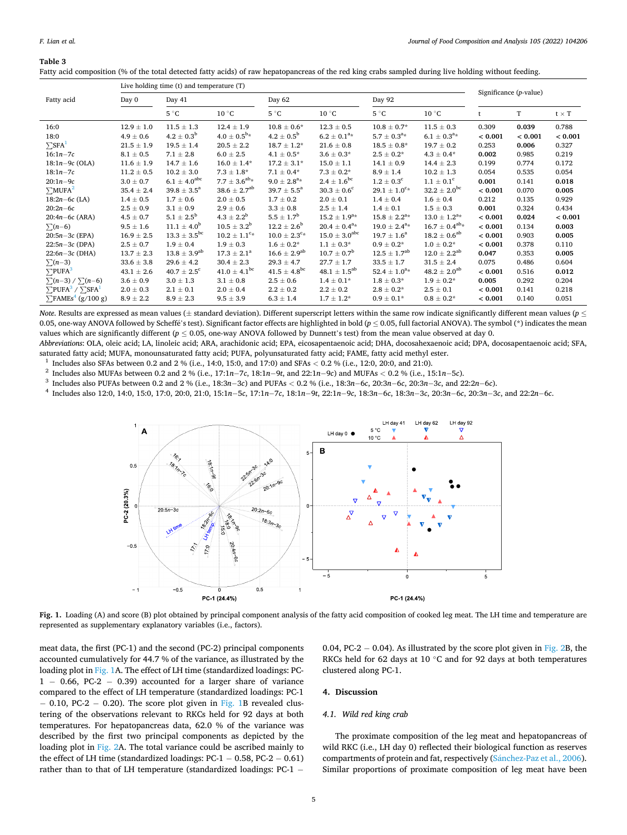## <span id="page-4-0"></span>**Table 3**

|                                                        |                | Live holding time (t) and temperature (T) |                               |                                |                          |                            |                       |                           |         |              |
|--------------------------------------------------------|----------------|-------------------------------------------|-------------------------------|--------------------------------|--------------------------|----------------------------|-----------------------|---------------------------|---------|--------------|
| Fatty acid                                             | Day 0          | Day 41                                    |                               | Day 62                         |                          | Day 92                     |                       | Significance $(p$ -value) |         |              |
|                                                        |                | $5^{\circ}$ C                             | $10^{\circ}$ C                | $5^{\circ}$ C                  | $10^{\circ}$ C           | $5^{\circ}$ C              | $10^{\circ}$ C        |                           | T       | $t \times T$ |
| 16:0                                                   | $12.9 \pm 1.0$ | $11.5 \pm 1.3$                            | $12.4 \pm 1.9$                | $10.8 \pm 0.6^*$               | $12.3 \pm 0.5$           | $10.8 \pm 0.7^*$           | $11.5 \pm 0.3$        | 0.309                     | 0.039   | 0.788        |
| 18:0                                                   | $4.9 \pm 0.6$  | $4.2 \pm 0.3^{b}$                         | $4.0 \pm 0.5^{b*}$            | $4.2 \pm 0.5^{b}$              | $6.2 \pm 0.1^{a_{*}}$    | $5.7 \pm 0.3^{a_{*}}$      | $6.1 \pm 0.3^{a_{*}}$ | < 0.001                   | < 0.001 | < 0.001      |
| $\Sigma$ SFA <sup>1</sup>                              | $21.5 \pm 1.9$ | $19.5 \pm 1.4$                            | $20.5 \pm 2.2$                | $18.7 \pm 1.2^*$               | $21.6 \pm 0.8$           | $18.5 \pm 0.8^*$           | $19.7 \pm 0.2$        | 0.253                     | 0.006   | 0.327        |
| $16:1n - 7c$                                           | $8.1 \pm 0.5$  | $7.1 \pm 2.8$                             | $6.0 \pm 2.5$                 | $4.1 \pm 0.5^*$                | $3.6 \pm 0.3*$           | $2.5 \pm 0.2^*$            | $4.3 \pm 0.4*$        | 0.002                     | 0.985   | 0.219        |
| $18:1n-9c$ (OLA)                                       | $11.6 \pm 1.9$ | $14.7 \pm 1.6$                            | $16.0 \pm 1.4*$               | $17.2 \pm 3.1*$                | $15.0 \pm 1.1$           | $14.1 \pm 0.9$             | $14.4 \pm 2.3$        | 0.199                     | 0.774   | 0.172        |
| $18:1n - 7c$                                           | $11.2 \pm 0.5$ | $10.2 \pm 3.0$                            | $7.3 \pm 1.8^*$               | $7.1 \pm 0.4*$                 | $7.3 \pm 0.2^*$          | $8.9 \pm 1.4$              | $10.2 \pm 1.3$        | 0.054                     | 0.535   | 0.054        |
| $20:1n-9c$                                             | $3.0 \pm 0.7$  | $6.1 \pm 4.0^{\rm abc}$                   | $7.7 \pm 3.6^{ab} *$          | $9.0 \pm 2.8^{\rm a} *$        | $2.4 \pm 1.6^{\rm bc}$   | $1.2 \pm 0.3^c$            | $1.1 \pm 0.1^{\circ}$ | 0.001                     | 0.141   | 0.018        |
| $\Sigma M UFA^2$                                       | $35.4 \pm 2.4$ | $39.8 \pm 3.5^{\circ}$                    | $38.6 \pm 2.7^{ab}$           | $39.7 \pm 5.5^{\circ}$         | $30.3 \pm 0.6^{\circ}$   | $29.1 \pm 1.0^{c_{\star}}$ | $32.2 \pm 2.0^{bc}$   | < 0.001                   | 0.070   | 0.005        |
| $18:2n-6c$ (LA)                                        | $1.4 \pm 0.5$  | $1.7 \pm 0.6$                             | $2.0 \pm 0.5$                 | $1.7 \pm 0.2$                  | $2.0 \pm 0.1$            | $1.4 \pm 0.4$              | $1.6 \pm 0.4$         | 0.212                     | 0.135   | 0.929        |
| $20:2n-6c$                                             | $2.5 \pm 0.9$  | $3.1 \pm 0.9$                             | $2.9 \pm 0.6$                 | $3.3 \pm 0.8$                  | $2.5 \pm 1.4$            | $1.4 \pm 0.1$              | $1.5 \pm 0.3$         | 0.001                     | 0.324   | 0.434        |
| $20:4n-6c$ (ARA)                                       | $4.5 \pm 0.7$  | $5.1 \pm 2.5^{\rm b}$                     | $4.3 \pm 2.2^b$               | $5.5 \pm 1.7^{\rm b}$          | $15.2 \pm 1.9^{a*}$      | $15.8 \pm 2.2^{a*}$        | $13.0 \pm 1.2^{a*}$   | < 0.001                   | 0.024   | < 0.001      |
| $\sum (n-6)$                                           | $9.5\pm1.6$    | $11.1 \pm 4.0^b$                          | $10.5 \pm 3.2^{\rm b}$        | $12.2 \pm 2.6^{\rm b}$         | $20.4 \pm 0.4^{a*}$      | $19.0 \pm 2.4^{a*}$        | $16.7 \pm 0.4^{ab}$ * | < 0.001                   | 0.134   | 0.003        |
| $20:5n-3c$ (EPA)                                       | $16.9 \pm 2.5$ | $13.3 \pm 3.5^{\rm bc}$                   | $10.2 \pm 1.1$ <sup>c</sup> * | $10.0 \pm 2.3^{\rm c_{\star}}$ | $15.0 \pm 3.0^{\rm abc}$ | $19.7 \pm 1.6^a$           | $18.2 \pm 0.6^{ab}$   | < 0.001                   | 0.903   | 0.005        |
| $22:5n-3c$ (DPA)                                       | $2.5 \pm 0.7$  | $1.9 \pm 0.4$                             | $1.9 \pm 0.3$                 | $1.6 \pm 0.2^*$                | $1.1 \pm 0.3^*$          | $0.9 \pm 0.2*$             | $1.0 \pm 0.2^*$       | < 0.001                   | 0.378   | 0.110        |
| $22:6n-3c$ (DHA)                                       | $13.7 \pm 2.3$ | $13.8 \pm 3.9^{ab}$                       | $17.3 \pm 2.1^a$              | $16.6 \pm 2.9^{ab}$            | $10.7 \pm 0.7^{\rm b}$   | $12.5 \pm 1.7^{ab}$        | $12.0 \pm 2.2^{ab}$   | 0.047                     | 0.353   | 0.005        |
| $\sum(n-3)$                                            | $33.6 \pm 3.8$ | $29.6 \pm 4.2$                            | $30.4 \pm 2.3$                | $29.3 \pm 4.7$                 | $27.7 \pm 1.7$           | $33.5 \pm 1.7$             | $31.5 \pm 2.4$        | 0.075                     | 0.486   | 0.604        |
| $\Sigma$ PUFA <sup>3</sup>                             | $43.1 \pm 2.6$ | $40.7 \pm 2.5^c$                          | $41.0 \pm 4.1$ <sup>bc</sup>  | $41.5 \pm 4.8$ <sup>bc</sup>   | $48.1 \pm 1.5^{ab}$      | $52.4 \pm 1.0^{a*}$        | $48.2 \pm 2.0^{ab}$   | < 0.001                   | 0.516   | 0.012        |
| $\sum(n-3) / \sum(n-6)$                                | $3.6 \pm 0.9$  | $3.0 \pm 1.3$                             | $3.1\,\pm\,0.8$               | $2.5 \pm 0.6$                  | $1.4 \pm 0.1*$           | $1.8 \pm 0.3*$             | $1.9 \pm 0.2*$        | 0.005                     | 0.292   | 0.204        |
| $\Sigma$ PUFA <sup>3</sup> / $\Sigma$ SFA <sup>1</sup> | $2.0 \pm 0.3$  | $2.1 \pm 0.1$                             | $2.0 \pm 0.4$                 | $2.2 \pm 0.2$                  | $2.2 \pm 0.2$            | $2.8 \pm 0.2^{*}$          | $2.5 \pm 0.1$         | < 0.001                   | 0.141   | 0.218        |
| $\Sigma$ FAMEs <sup>4</sup> (g/100 g)                  | $8.9 \pm 2.2$  | $8.9\pm2.3$                               | $9.5 \pm 3.9$                 | $6.3 \pm 1.4$                  | $1.7 \pm 1.2^*$          | $0.9 \pm 0.1^{*}$          | $0.8 \pm 0.2*$        | < 0.001                   | 0.140   | 0.051        |

Fatty acid composition (% of the total detected fatty acids) of raw hepatopancreas of the red king crabs sampled during live holding without feeding.

*Note*. Results are expressed as mean values (± standard deviation). Different superscript letters within the same row indicate significantly different mean values (*p* ≤ 0.05, one-way ANOVA followed by Scheffé's test). Significant factor effects are highlighted in bold (*p* < 0.05, full factorial ANOVA). The symbol (\*) indicates the mean values which are significantly different ( $p \le 0.05$ , one-way ANOVA followed by Dunnett's test) from the mean value observed at day 0.

*Abbreviations*: OLA, oleic acid; LA, linoleic acid; ARA, arachidonic acid; EPA, eicosapentaenoic acid; DHA, docosahexaenoic acid; DPA, docosapentaenoic acid; SFA,

saturated fatty acid; MUFA, monounsaturated fatty acid; PUFA, polyunsaturated fatty acid; FAME, fatty acid methyl ester.<br>
<sup>1</sup> Includes also SFAs between 0.2 and 2 % (i.e., 14:0, 15:0, and 17:0) and SFAs < 0.2 % (i.e., 12:



**Fig. 1.** Loading (A) and score (B) plot obtained by principal component analysis of the fatty acid composition of cooked leg meat. The LH time and temperature are represented as supplementary explanatory variables (i.e., factors).

meat data, the first (PC-1) and the second (PC-2) principal components accounted cumulatively for 44.7 % of the variance, as illustrated by the loading plot in Fig. 1A. The effect of LH time (standardized loadings: PC-1 − 0.66, PC-2 − 0.39) accounted for a larger share of variance compared to the effect of LH temperature (standardized loadings: PC-1 − 0.10, PC-2 − 0.20). The score plot given in Fig. 1B revealed clustering of the observations relevant to RKCs held for 92 days at both temperatures. For hepatopancreas data, 62.0 % of the variance was described by the first two principal components as depicted by the loading plot in [Fig. 2A](#page-5-0). The total variance could be ascribed mainly to the effect of LH time (standardized loadings:  $PC-1 - 0.58$ ,  $PC-2 - 0.61$ ) rather than to that of LH temperature (standardized loadings: PC-1 −

0.04, PC-2  $-$  0.04). As illustrated by the score plot given in [Fig. 2](#page-5-0)B, the RKCs held for 62 days at 10 ◦C and for 92 days at both temperatures clustered along PC-1.

## **4. Discussion**

## *4.1. Wild red king crab*

The proximate composition of the leg meat and hepatopancreas of wild RKC (i.e., LH day 0) reflected their biological function as reserves compartments of protein and fat, respectively (Sánchez-Paz et al., 2006). Similar proportions of proximate composition of leg meat have been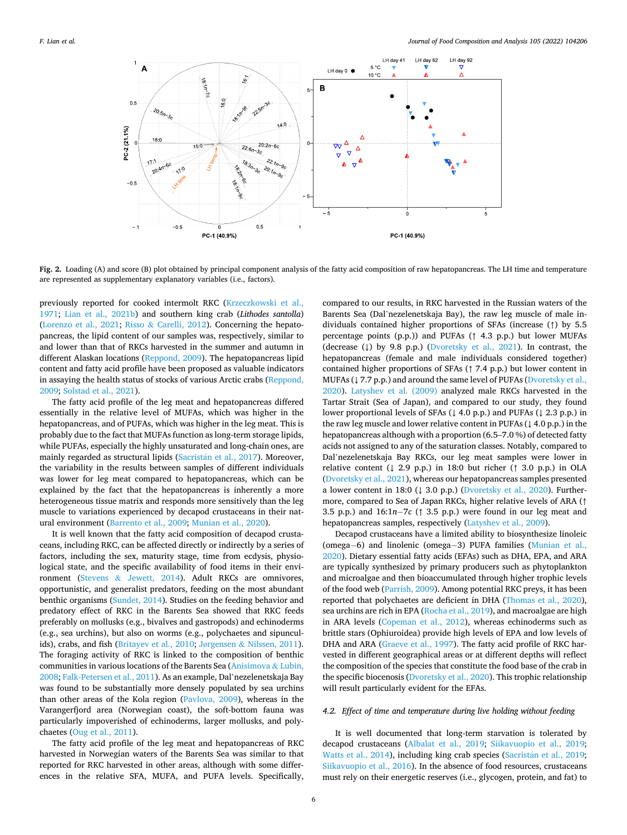<span id="page-5-0"></span>

**Fig. 2.** Loading (A) and score (B) plot obtained by principal component analysis of the fatty acid composition of raw hepatopancreas. The LH time and temperature are represented as supplementary explanatory variables (i.e., factors).

previously reported for cooked intermolt RKC [\(Krzeczkowski et al.,](#page-9-0)  [1971;](#page-9-0) [Lian et al., 2021b](#page-9-0)) and southern king crab (*Lithodes santolla*) ([Lorenzo et al., 2021](#page-9-0); Risso & [Carelli, 2012](#page-9-0)). Concerning the hepatopancreas, the lipid content of our samples was, respectively, similar to and lower than that of RKCs harvested in the summer and autumn in different Alaskan locations ([Reppond, 2009\)](#page-9-0). The hepatopancreas lipid content and fatty acid profile have been proposed as valuable indicators in assaying the health status of stocks of various Arctic crabs [\(Reppond,](#page-9-0)  [2009; Solstad et al., 2021](#page-9-0)).

The fatty acid profile of the leg meat and hepatopancreas differed essentially in the relative level of MUFAs, which was higher in the hepatopancreas, and of PUFAs, which was higher in the leg meat. This is probably due to the fact that MUFAs function as long-term storage lipids, while PUFAs, especially the highly unsaturated and long-chain ones, are mainly regarded as structural lipids (Sacristán [et al., 2017\)](#page-9-0). Moreover, the variability in the results between samples of different individuals was lower for leg meat compared to hepatopancreas, which can be explained by the fact that the hepatopancreas is inherently a more heterogeneous tissue matrix and responds more sensitively than the leg muscle to variations experienced by decapod crustaceans in their natural environment [\(Barrento et al., 2009;](#page-8-0) [Munian et al., 2020\)](#page-9-0).

It is well known that the fatty acid composition of decapod crustaceans, including RKC, can be affected directly or indirectly by a series of factors, including the sex, maturity stage, time from ecdysis, physiological state, and the specific availability of food items in their environment (Stevens & [Jewett, 2014](#page-10-0)). Adult RKCs are omnivores, opportunistic, and generalist predators, feeding on the most abundant benthic organisms [\(Sundet, 2014](#page-10-0)). Studies on the feeding behavior and predatory effect of RKC in the Barents Sea showed that RKC feeds preferably on mollusks (e.g., bivalves and gastropods) and echinoderms (e.g., sea urchins), but also on worms (e.g., polychaetes and sipunculids), crabs, and fish [\(Britayev et al., 2010;](#page-8-0) Jørgensen & [Nilssen, 2011](#page-9-0)). The foraging activity of RKC is linked to the composition of benthic communities in various locations of the Barents Sea ([Anisimova](#page-8-0) & Lubin, [2008;](#page-8-0) [Falk-Petersen et al., 2011](#page-9-0)). As an example, Dal'nezelenetskaja Bay was found to be substantially more densely populated by sea urchins than other areas of the Kola region [\(Pavlova, 2009\)](#page-9-0), whereas in the Varangerfjord area (Norwegian coast), the soft-bottom fauna was particularly impoverished of echinoderms, larger mollusks, and polychaetes [\(Oug et al., 2011](#page-9-0)).

The fatty acid profile of the leg meat and hepatopancreas of RKC harvested in Norwegian waters of the Barents Sea was similar to that reported for RKC harvested in other areas, although with some differences in the relative SFA, MUFA, and PUFA levels. Specifically,

compared to our results, in RKC harvested in the Russian waters of the Barents Sea (Dal'nezelenetskaja Bay), the raw leg muscle of male individuals contained higher proportions of SFAs (increase (↑) by 5.5 percentage points (p.p.)) and PUFAs (↑ 4.3 p.p.) but lower MUFAs (decrease (↓) by 9.8 p.p.) ([Dvoretsky et al., 2021\)](#page-8-0). In contrast, the hepatopancreas (female and male individuals considered together) contained higher proportions of SFAs (↑ 7.4 p.p.) but lower content in MUFAs (↓7.7 p.p.) and around the same level of PUFAs (Dvoretsky et al., [2020\)](#page-8-0). [Latyshev et al. \(2009\)](#page-9-0) analyzed male RKCs harvested in the Tartar Strait (Sea of Japan), and compared to our study, they found lower proportional levels of SFAs (↓ 4.0 p.p.) and PUFAs (↓ 2.3 p.p.) in the raw leg muscle and lower relative content in PUFAs (↓ 4.0 p.p.) in the hepatopancreas although with a proportion (6.5–7.0 %) of detected fatty acids not assigned to any of the saturation classes. Notably, compared to Dal'nezelenetskaja Bay RKCs, our leg meat samples were lower in relative content ( $\downarrow$  2.9 p.p.) in 18:0 but richer ( $\uparrow$  3.0 p.p.) in OLA ([Dvoretsky et al., 2021\)](#page-8-0), whereas our hepatopancreas samples presented a lower content in 18:0 ( $\downarrow$  3.0 p.p.) ([Dvoretsky et al., 2020\)](#page-8-0). Furthermore, compared to Sea of Japan RKCs, higher relative levels of ARA (↑ 3.5 p.p.) and 16:1*n*− 7*c* (↑ 3.5 p.p.) were found in our leg meat and hepatopancreas samples, respectively [\(Latyshev et al., 2009\)](#page-9-0).

Decapod crustaceans have a limited ability to biosynthesize linoleic (omega− 6) and linolenic (omega− 3) PUFA families [\(Munian et al.,](#page-9-0)  [2020\)](#page-9-0). Dietary essential fatty acids (EFAs) such as DHA, EPA, and ARA are typically synthesized by primary producers such as phytoplankton and microalgae and then bioaccumulated through higher trophic levels of the food web ([Parrish, 2009\)](#page-9-0). Among potential RKC preys, it has been reported that polychaetes are deficient in DHA ([Thomas et al., 2020](#page-10-0)), sea urchins are rich in EPA [\(Rocha et al., 2019](#page-9-0)), and macroalgae are high in ARA levels ([Copeman et al., 2012\)](#page-8-0), whereas echinoderms such as brittle stars (Ophiuroidea) provide high levels of EPA and low levels of DHA and ARA ([Graeve et al., 1997\)](#page-9-0). The fatty acid profile of RKC harvested in different geographical areas or at different depths will reflect the composition of the species that constitute the food base of the crab in the specific biocenosis ([Dvoretsky et al., 2020\)](#page-8-0). This trophic relationship will result particularly evident for the EFAs.

#### *4.2. Effect of time and temperature during live holding without feeding*

It is well documented that long-term starvation is tolerated by decapod crustaceans ([Albalat et al., 2019](#page-8-0); [Siikavuopio et al., 2019](#page-9-0); [Watts et al., 2014](#page-10-0)), including king crab species (Sacristán et al., 2019; [Siikavuopio et al., 2016\)](#page-9-0). In the absence of food resources, crustaceans must rely on their energetic reserves (i.e., glycogen, protein, and fat) to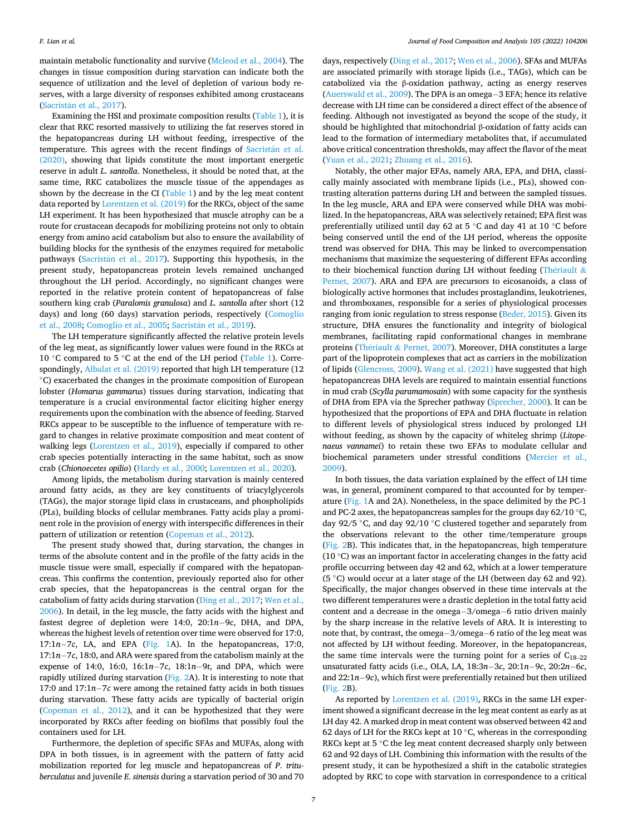maintain metabolic functionality and survive ([Mcleod et al., 2004](#page-9-0)). The changes in tissue composition during starvation can indicate both the sequence of utilization and the level of depletion of various body reserves, with a large diversity of responses exhibited among crustaceans (Sacristán [et al., 2017](#page-9-0)).

Examining the HSI and proximate composition results ([Table 1\)](#page-2-0), it is clear that RKC resorted massively to utilizing the fat reserves stored in the hepatopancreas during LH without feeding, irrespective of the temperature. This agrees with the recent findings of Sacristán et al. [\(2020\),](#page-9-0) showing that lipids constitute the most important energetic reserve in adult *L*. *santolla*. Nonetheless, it should be noted that, at the same time, RKC catabolizes the muscle tissue of the appendages as shown by the decrease in the CI ([Table 1](#page-2-0)) and by the leg meat content data reported by [Lorentzen et al. \(2019\)](#page-9-0) for the RKCs, object of the same LH experiment. It has been hypothesized that muscle atrophy can be a route for crustacean decapods for mobilizing proteins not only to obtain energy from amino acid catabolism but also to ensure the availability of building blocks for the synthesis of the enzymes required for metabolic pathways (Sacristán [et al., 2017\)](#page-9-0). Supporting this hypothesis, in the present study, hepatopancreas protein levels remained unchanged throughout the LH period. Accordingly, no significant changes were reported in the relative protein content of hepatopancreas of false southern king crab (*Paralomis granulosa*) and *L. santolla* after short (12 days) and long (60 days) starvation periods, respectively ([Comoglio](#page-8-0)  [et al., 2008; Comoglio et al., 2005;](#page-8-0) Sacristán et al., 2019).

The LH temperature significantly affected the relative protein levels of the leg meat, as significantly lower values were found in the RKCs at 10 ◦C compared to 5 ◦C at the end of the LH period ([Table 1\)](#page-2-0). Corre-spondingly, [Albalat et al. \(2019\)](#page-8-0) reported that high LH temperature (12 ◦C) exacerbated the changes in the proximate composition of European lobster (*Homarus gammarus*) tissues during starvation, indicating that temperature is a crucial environmental factor eliciting higher energy requirements upon the combination with the absence of feeding. Starved RKCs appear to be susceptible to the influence of temperature with regard to changes in relative proximate composition and meat content of walking legs [\(Lorentzen et al., 2019\)](#page-9-0), especially if compared to other crab species potentially interacting in the same habitat, such as snow crab (*Chionoecetes opilio*) [\(Hardy et al., 2000; Lorentzen et al., 2020\)](#page-9-0).

Among lipids, the metabolism during starvation is mainly centered around fatty acids, as they are key constituents of triacylglycerols (TAGs), the major storage lipid class in crustaceans, and phospholipids (PLs), building blocks of cellular membranes. Fatty acids play a prominent role in the provision of energy with interspecific differences in their pattern of utilization or retention ([Copeman et al., 2012](#page-8-0)).

The present study showed that, during starvation, the changes in terms of the absolute content and in the profile of the fatty acids in the muscle tissue were small, especially if compared with the hepatopancreas. This confirms the contention, previously reported also for other crab species, that the hepatopancreas is the central organ for the catabolism of fatty acids during starvation ([Ding et al., 2017](#page-8-0); [Wen et al.,](#page-10-0)  [2006\)](#page-10-0). In detail, in the leg muscle, the fatty acids with the highest and fastest degree of depletion were 14:0, 20:1*n*− 9*c*, DHA, and DPA, whereas the highest levels of retention over time were observed for 17:0, 17:1*n*− 7*c*, LA, and EPA ([Fig. 1](#page-4-0)A). In the hepatopancreas, 17:0, 17:1*n*− 7*c*, 18:0, and ARA were spared from the catabolism mainly at the expense of 14:0, 16:0, 16:1*n*− 7*c*, 18:1*n*− 9*t*, and DPA, which were rapidly utilized during starvation ([Fig. 2A](#page-5-0)). It is interesting to note that 17:0 and 17:1*n*− 7*c* were among the retained fatty acids in both tissues during starvation. These fatty acids are typically of bacterial origin ([Copeman et al., 2012\)](#page-8-0), and it can be hypothesized that they were incorporated by RKCs after feeding on biofilms that possibly foul the containers used for LH.

Furthermore, the depletion of specific SFAs and MUFAs, along with DPA in both tissues, is in agreement with the pattern of fatty acid mobilization reported for leg muscle and hepatopancreas of *P*. *trituberculatus* and juvenile *E*. *sinensis* during a starvation period of 30 and 70

days, respectively [\(Ding et al., 2017;](#page-8-0) [Wen et al., 2006\)](#page-10-0). SFAs and MUFAs are associated primarily with storage lipids (i.e., TAGs), which can be catabolized via the β-oxidation pathway, acting as energy reserves ([Auerswald et al., 2009\)](#page-8-0). The DPA is an omega− 3 EFA; hence its relative decrease with LH time can be considered a direct effect of the absence of feeding. Although not investigated as beyond the scope of the study, it should be highlighted that mitochondrial β-oxidation of fatty acids can lead to the formation of intermediary metabolites that, if accumulated above critical concentration thresholds, may affect the flavor of the meat ([Yuan et al., 2021](#page-10-0); [Zhuang et al., 2016\)](#page-10-0).

Notably, the other major EFAs, namely ARA, EPA, and DHA, classically mainly associated with membrane lipids (i.e., PLs), showed contrasting alteration patterns during LH and between the sampled tissues. In the leg muscle, ARA and EPA were conserved while DHA was mobilized. In the hepatopancreas, ARA was selectively retained; EPA first was preferentially utilized until day 62 at 5 ◦C and day 41 at 10 ◦C before being conserved until the end of the LH period, whereas the opposite trend was observed for DHA. This may be linked to overcompensation mechanisms that maximize the sequestering of different EFAs according to their biochemical function during LH without feeding (Thériault  $\&$ [Pernet, 2007\)](#page-10-0). ARA and EPA are precursors to eicosanoids, a class of biologically active hormones that includes prostaglandins, leukotrienes, and thromboxanes, responsible for a series of physiological processes ranging from ionic regulation to stress response [\(Beder, 2015\)](#page-8-0). Given its structure, DHA ensures the functionality and integrity of biological membranes, facilitating rapid conformational changes in membrane proteins (Thériault & [Pernet, 2007\)](#page-10-0). Moreover, DHA constitutes a large part of the lipoprotein complexes that act as carriers in the mobilization of lipids ([Glencross, 2009\)](#page-9-0). [Wang et al. \(2021\)](#page-10-0) have suggested that high hepatopancreas DHA levels are required to maintain essential functions in mud crab (*Scylla paramamosain*) with some capacity for the synthesis of DHA from EPA via the Sprecher pathway [\(Sprecher, 2000\)](#page-9-0). It can be hypothesized that the proportions of EPA and DHA fluctuate in relation to different levels of physiological stress induced by prolonged LH without feeding, as shown by the capacity of whiteleg shrimp (*Litopenaeus vannamei*) to retain these two EFAs to modulate cellular and biochemical parameters under stressful conditions ([Mercier et al.,](#page-9-0)  [2009\)](#page-9-0).

In both tissues, the data variation explained by the effect of LH time was, in general, prominent compared to that accounted for by temperature [\(Fig. 1A](#page-4-0) and 2A). Nonetheless, in the space delimited by the PC-1 and PC-2 axes, the hepatopancreas samples for the groups day  $62/10\degree$ C, day 92/5 ◦C, and day 92/10 ◦C clustered together and separately from the observations relevant to the other time/temperature groups ([Fig. 2B](#page-5-0)). This indicates that, in the hepatopancreas, high temperature (10 ◦C) was an important factor in accelerating changes in the fatty acid profile occurring between day 42 and 62, which at a lower temperature (5 ◦C) would occur at a later stage of the LH (between day 62 and 92). Specifically, the major changes observed in these time intervals at the two different temperatures were a drastic depletion in the total fatty acid content and a decrease in the omega− 3/omega− 6 ratio driven mainly by the sharp increase in the relative levels of ARA. It is interesting to note that, by contrast, the omega− 3/omega− 6 ratio of the leg meat was not affected by LH without feeding. Moreover, in the hepatopancreas, the same time intervals were the turning point for a series of  $C_{18-22}$ unsaturated fatty acids (i.e., OLA, LA, 18:3*n*− 3*c*, 20:1*n*− 9*c*, 20:2*n*− 6*c*, and 22:1*n*− 9*c*), which first were preferentially retained but then utilized ([Fig. 2B](#page-5-0)).

As reported by [Lorentzen et al. \(2019\)](#page-9-0), RKCs in the same LH experiment showed a significant decrease in the leg meat content as early as at LH day 42. A marked drop in meat content was observed between 42 and 62 days of LH for the RKCs kept at 10  $^{\circ}$ C, whereas in the corresponding RKCs kept at 5 °C the leg meat content decreased sharply only between 62 and 92 days of LH. Combining this information with the results of the present study, it can be hypothesized a shift in the catabolic strategies adopted by RKC to cope with starvation in correspondence to a critical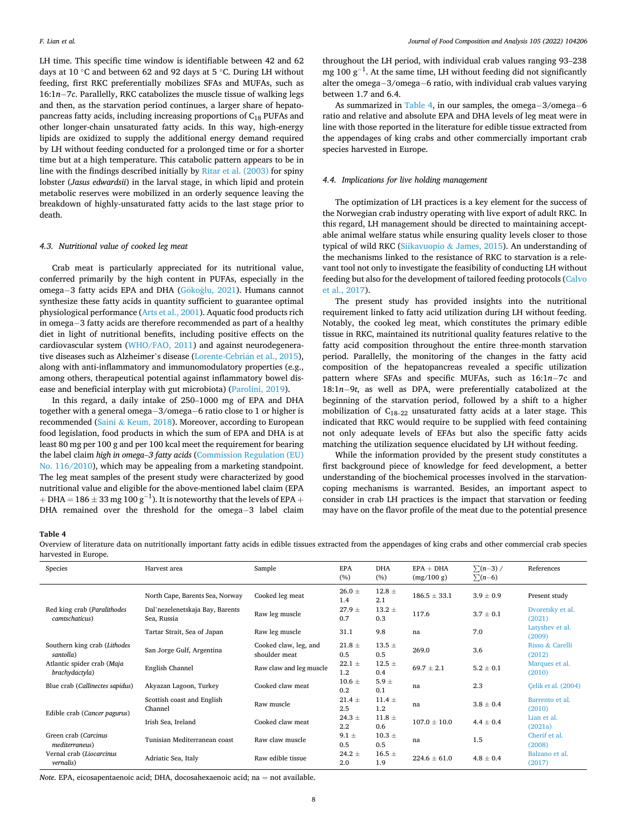LH time. This specific time window is identifiable between 42 and 62 days at 10 ◦C and between 62 and 92 days at 5 ◦C. During LH without feeding, first RKC preferentially mobilizes SFAs and MUFAs, such as 16:1*n*− 7*c*. Parallelly, RKC catabolizes the muscle tissue of walking legs and then, as the starvation period continues, a larger share of hepatopancreas fatty acids, including increasing proportions of C18 PUFAs and other longer-chain unsaturated fatty acids. In this way, high-energy lipids are oxidized to supply the additional energy demand required by LH without feeding conducted for a prolonged time or for a shorter time but at a high temperature. This catabolic pattern appears to be in line with the findings described initially by [Ritar et al. \(2003\)](#page-9-0) for spiny lobster (*Jasus edwardsii*) in the larval stage, in which lipid and protein metabolic reserves were mobilized in an orderly sequence leaving the breakdown of highly-unsaturated fatty acids to the last stage prior to death.

## *4.3. Nutritional value of cooked leg meat*

Crab meat is particularly appreciated for its nutritional value, conferred primarily by the high content in PUFAs, especially in the omega-3 fatty acids EPA and DHA (Gökoğlu, 2021). Humans cannot synthesize these fatty acids in quantity sufficient to guarantee optimal physiological performance ([Arts et al., 2001\)](#page-8-0). Aquatic food products rich in omega− 3 fatty acids are therefore recommended as part of a healthy diet in light of nutritional benefits, including positive effects on the cardiovascular system ([WHO/FAO, 2011\)](#page-10-0) and against neurodegenerative diseases such as Alzheimer's disease (Lorente-Cebrián et al., 2015), along with anti-inflammatory and immunomodulatory properties (e.g., among others, therapeutical potential against inflammatory bowel disease and beneficial interplay with gut microbiota) [\(Parolini, 2019\)](#page-9-0).

In this regard, a daily intake of 250–1000 mg of EPA and DHA together with a general omega− 3/omega− 6 ratio close to 1 or higher is recommended (Saini & [Keum, 2018](#page-9-0)). Moreover, according to European food legislation, food products in which the sum of EPA and DHA is at least 80 mg per 100 g and per 100 kcal meet the requirement for bearing the label claim *high in omega*–*3 fatty acids* [\(Commission Regulation \(EU\)](#page-8-0)  [No. 116/2010\)](#page-8-0), which may be appealing from a marketing standpoint. The leg meat samples of the present study were characterized by good nutritional value and eligible for the above-mentioned label claim (EPA  $+$  DHA  $=$   $186\pm33$  mg  $100$  g $^{-1}$ ). It is noteworthy that the levels of EPA  $+$ DHA remained over the threshold for the omega-3 label claim

throughout the LH period, with individual crab values ranging 93–238 mg 100  $g^{-1}$ . At the same time, LH without feeding did not significantly alter the omega− 3/omega− 6 ratio, with individual crab values varying between 1.7 and 6.4.

As summarized in Table 4, in our samples, the omega− 3/omega− 6 ratio and relative and absolute EPA and DHA levels of leg meat were in line with those reported in the literature for edible tissue extracted from the appendages of king crabs and other commercially important crab species harvested in Europe.

#### *4.4. Implications for live holding management*

The optimization of LH practices is a key element for the success of the Norwegian crab industry operating with live export of adult RKC. In this regard, LH management should be directed to maintaining acceptable animal welfare status while ensuring quality levels closer to those typical of wild RKC (Siikavuopio & [James, 2015\)](#page-9-0). An understanding of the mechanisms linked to the resistance of RKC to starvation is a relevant tool not only to investigate the feasibility of conducting LH without feeding but also for the development of tailored feeding protocols ([Calvo](#page-8-0)  [et al., 2017\)](#page-8-0).

The present study has provided insights into the nutritional requirement linked to fatty acid utilization during LH without feeding. Notably, the cooked leg meat, which constitutes the primary edible tissue in RKC, maintained its nutritional quality features relative to the fatty acid composition throughout the entire three-month starvation period. Parallelly, the monitoring of the changes in the fatty acid composition of the hepatopancreas revealed a specific utilization pattern where SFAs and specific MUFAs, such as 16:1*n*− 7c and 18:1*n*− 9*t*, as well as DPA, were preferentially catabolized at the beginning of the starvation period, followed by a shift to a higher mobilization of  $C_{18-22}$  unsaturated fatty acids at a later stage. This indicated that RKC would require to be supplied with feed containing not only adequate levels of EFAs but also the specific fatty acids matching the utilization sequence elucidated by LH without feeding.

While the information provided by the present study constitutes a first background piece of knowledge for feed development, a better understanding of the biochemical processes involved in the starvationcoping mechanisms is warranted. Besides, an important aspect to consider in crab LH practices is the impact that starvation or feeding may have on the flavor profile of the meat due to the potential presence

#### **Table 4**

Overview of literature data on nutritionally important fatty acids in edible tissues extracted from the appendages of king crabs and other commercial crab species harvested in Europe.

| Species                                       | Harvest area                                   | Sample                                 | <b>EPA</b><br>(%)              | <b>DHA</b><br>(%) | $EPA + DHA$<br>(mg/100 g) | $\sum (n-3)$ /<br>$\sum (n-6)$ | References                 |
|-----------------------------------------------|------------------------------------------------|----------------------------------------|--------------------------------|-------------------|---------------------------|--------------------------------|----------------------------|
|                                               | North Cape, Barents Sea, Norway                | Cooked leg meat                        | $26.0 \pm$<br>1.4              | $12.8 \pm$<br>2.1 | $186.5 \pm 33.1$          | $3.9 \pm 0.9$                  | Present study              |
| Red king crab (Paralithodes<br>camtschaticus) | Dal'nezelenetskaja Bay, Barents<br>Sea, Russia | Raw leg muscle                         | $27.9 +$<br>0.7                | $13.2 \pm$<br>0.3 | 117.6                     | $3.7 \pm 0.1$                  | Dvoretsky et al.<br>(2021) |
|                                               | Tartar Strait, Sea of Japan                    | Raw leg muscle                         | 31.1                           | 9.8               | na                        | 7.0                            | Latyshev et al.<br>(2009)  |
| Southern king crab (Lithodes<br>santolla)     | San Jorge Gulf, Argentina                      | Cooked claw, leg, and<br>shoulder meat | $21.8 \pm$<br>0.5              | $13.5 \pm$<br>0.5 | 269.0                     | 3.6                            | Risso & Carelli<br>(2012)  |
| Atlantic spider crab (Maja<br>brachydactyla)  | English Channel                                | Raw claw and leg muscle                | $22.1 \pm$<br>1.2              | $12.5 \pm$<br>0.4 | $69.7 \pm 2.1$            | $5.2 \pm 0.1$                  | Marques et al.<br>(2010)   |
| Blue crab (Callinectes sapidus)               | Akyazan Lagoon, Turkey                         | Cooked claw meat                       | $10.6 \pm$<br>0.2              | 5.9 $\pm$<br>0.1  | na                        | 2.3                            | Celik et al. (2004)        |
| Edible crab (Cancer pagurus)                  | Scottish coast and English<br>Channel          | Raw muscle                             | $21.4 \pm$<br>2.5              | $11.4 \pm$<br>1.2 | na                        | $3.8 \pm 0.4$                  | Barrento et al.<br>(2010)  |
|                                               | Irish Sea, Ireland                             | Cooked claw meat                       | $24.3 \pm$<br>$2.2\phantom{0}$ | $11.8 \pm$<br>0.6 | $107.0 \pm 10.0$          | $4.4 \pm 0.4$                  | Lian et al.<br>(2021a)     |
| Green crab (Carcinus<br>mediterraneus)        | Tunisian Mediterranean coast                   | Raw claw muscle                        | $9.1 \pm$<br>0.5               | $10.3 \pm$<br>0.5 | na                        | 1.5                            | Cherif et al.<br>(2008)    |
| Vernal crab (Liocarcinus<br><i>vernalis</i> ) | Adriatic Sea, Italy                            | Raw edible tissue                      | $24.2 \pm$<br>2.0              | $16.5 \pm$<br>1.9 | $224.6 \pm 61.0$          | $4.8 \pm 0.4$                  | Balzano et al.<br>(2017)   |

*Note*. EPA, eicosapentaenoic acid; DHA, docosahexaenoic acid; na = not available.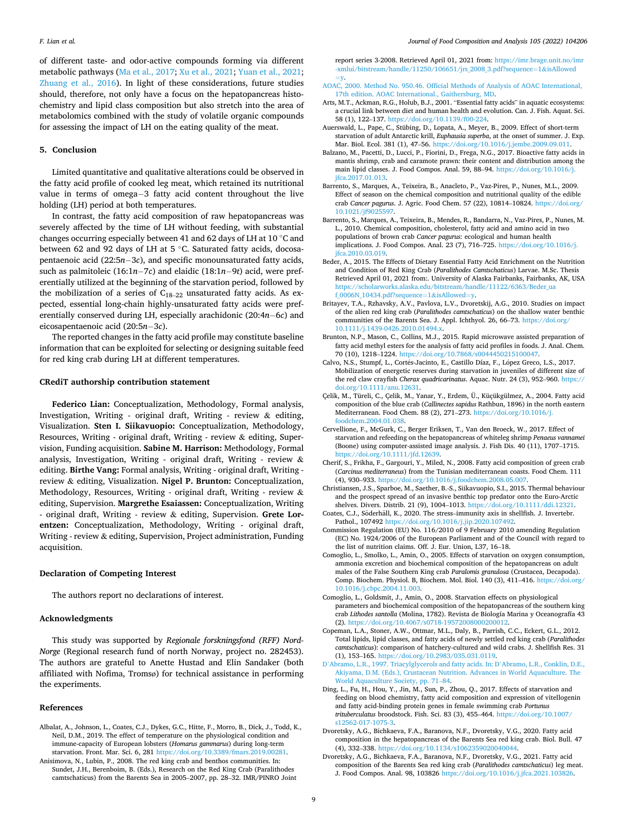<span id="page-8-0"></span>of different taste- and odor-active compounds forming via different metabolic pathways [\(Ma et al., 2017](#page-9-0); [Xu et al., 2021](#page-10-0); [Yuan et al., 2021](#page-10-0); [Zhuang et al., 2016](#page-10-0)). In light of these considerations, future studies should, therefore, not only have a focus on the hepatopancreas histochemistry and lipid class composition but also stretch into the area of metabolomics combined with the study of volatile organic compounds for assessing the impact of LH on the eating quality of the meat.

#### **5. Conclusion**

Limited quantitative and qualitative alterations could be observed in the fatty acid profile of cooked leg meat, which retained its nutritional value in terms of omega−3 fatty acid content throughout the live holding (LH) period at both temperatures.

In contrast, the fatty acid composition of raw hepatopancreas was severely affected by the time of LH without feeding, with substantial changes occurring especially between 41 and 62 days of LH at 10 ◦C and between 62 and 92 days of LH at 5 ◦C. Saturated fatty acids, docosapentaenoic acid (22:5*n*− 3*c*), and specific monounsaturated fatty acids, such as palmitoleic (16:1*n*− 7*c*) and elaidic (18:1*n*− 9*t*) acid, were preferentially utilized at the beginning of the starvation period, followed by the mobilization of a series of  $C_{18-22}$  unsaturated fatty acids. As expected, essential long-chain highly-unsaturated fatty acids were preferentially conserved during LH, especially arachidonic (20:4*n*− 6*c*) and eicosapentaenoic acid (20:5*n*− 3*c*).

The reported changes in the fatty acid profile may constitute baseline information that can be exploited for selecting or designing suitable feed for red king crab during LH at different temperatures.

## **CRediT authorship contribution statement**

**Federico Lian:** Conceptualization, Methodology, Formal analysis, Investigation, Writing - original draft, Writing - review  $\&$  editing, Visualization. **Sten I. Siikavuopio:** Conceptualization, Methodology, Resources, Writing - original draft, Writing - review  $\&$  editing, Supervision, Funding acquisition. **Sabine M. Harrison:** Methodology, Formal analysis, Investigation, Writing - original draft, Writing - review  $\&$ editing. **Birthe Vang:** Formal analysis, Writing - original draft, Writing review & editing, Visualization. **Nigel P. Brunton:** Conceptualization, Methodology, Resources, Writing - original draft, Writing - review & editing, Supervision. **Margrethe Esaiassen:** Conceptualization, Writing - original draft, Writing - review & editing, Supervision. **Grete Lorentzen:** Conceptualization, Methodology, Writing - original draft, Writing - review & editing, Supervision, Project administration, Funding acquisition.

## **Declaration of Competing Interest**

The authors report no declarations of interest.

#### **Acknowledgments**

This study was supported by *Regionale forskningsfond (RFF) Nord-Norge* (Regional research fund of north Norway, project no. 282453). The authors are grateful to Anette Hustad and Elin Sandaker (both affiliated with Nofima, Tromsø) for technical assistance in performing the experiments.

#### **References**

- Albalat, A., Johnson, L., Coates, C.J., Dykes, G.C., Hitte, F., Morro, B., Dick, J., Todd, K., Neil, D.M., 2019. The effect of temperature on the physiological condition and immune-capacity of European lobsters (*Homarus gammarus*) during long-term starvation. Front. Mar. Sci. 6, 281 <https://doi.org/10.3389/fmars.2019.00281>.
- Anisimova, N., Lubin, P., 2008. The red king crab and benthos communities. In: Sundet, J.H., Berenboim, B. (Eds.), Research on the Red King Crab (Paralithodes camtschaticus) from the Barents Sea in 2005–2007, pp. 28–32. IMR/PINRO Joint

report series 3-2008. Retrieved April 01, 2021 from: [https://imr.brage.unit.no/imr](https://imr.brage.unit.no/imr-xmlui/bitstream/handle/11250/106651/jrs_2008_3.pdf?sequence=1%26isAllowed=y)  [-xmlui/bitstream/handle/11250/106651/jrs\\_2008\\_3.pdf?sequence](https://imr.brage.unit.no/imr-xmlui/bitstream/handle/11250/106651/jrs_2008_3.pdf?sequence=1%26isAllowed=y)=1&isAllowed  $=v.$  $=v.$ 

- [AOAC, 2000. Method No. 950.46. Official Methods of Analysis of AOAC International,](http://refhub.elsevier.com/S0889-1575(21)00406-3/sbref0015) [17th edition. AOAC International., Gaithersburg, MD.](http://refhub.elsevier.com/S0889-1575(21)00406-3/sbref0015)
- Arts, M.T., Ackman, R.G., Holub, B.J., 2001. "Essential fatty acids" in aquatic ecosystems: a crucial link between diet and human health and evolution. Can. J. Fish. Aquat. Sci. 58 (1), 122–137. [https://doi.org/10.1139/f00-224.](https://doi.org/10.1139/f00-224)
- Auerswald, L., Pape, C., Stübing, D., Lopata, A., Meyer, B., 2009. Effect of short-term starvation of adult Antarctic krill, *Euphausia superba*, at the onset of summer. J. Exp. Mar. Biol. Ecol. 381 (1), 47–56. [https://doi.org/10.1016/j.jembe.2009.09.011.](https://doi.org/10.1016/j.jembe.2009.09.011)
- Balzano, M., Pacetti, D., Lucci, P., Fiorini, D., Frega, N.G., 2017. Bioactive fatty acids in mantis shrimp, crab and caramote prawn: their content and distribution among the main lipid classes. J. Food Compos. Anal. 59, 88–94. [https://doi.org/10.1016/j.](https://doi.org/10.1016/j.jfca.2017.01.013) [jfca.2017.01.013](https://doi.org/10.1016/j.jfca.2017.01.013).
- Barrento, S., Marques, A., Teixeira, B., Anacleto, P., Vaz-Pires, P., Nunes, M.L., 2009. Effect of season on the chemical composition and nutritional quality of the edible crab *Cancer pagurus*. J. Agric. Food Chem. 57 (22), 10814–10824. [https://doi.org/](https://doi.org/10.1021/jf9025597) [10.1021/jf9025597](https://doi.org/10.1021/jf9025597).
- Barrento, S., Marques, A., Teixeira, B., Mendes, R., Bandarra, N., Vaz-Pires, P., Nunes, M. L., 2010. Chemical composition, cholesterol, fatty acid and amino acid in two populations of brown crab *Cancer pagurus*: ecological and human health implications. J. Food Compos. Anal. 23 (7), 716–725. [https://doi.org/10.1016/j.](https://doi.org/10.1016/j.jfca.2010.03.019) [jfca.2010.03.019](https://doi.org/10.1016/j.jfca.2010.03.019).
- Beder, A., 2015. The Effects of Dietary Essential Fatty Acid Enrichment on the Nutrition and Condition of Red King Crab (*Paralithodes Camtschaticus*) Larvae. M.Sc. Thesis Retrieved April 01, 2021 from:. University of Alaska Fairbanks, Fairbanks, AK, USA [https://scholarworks.alaska.edu/bitstream/handle/11122/6363/Beder\\_ua](https://scholarworks.alaska.edu/bitstream/handle/11122/6363/Beder_uaf_0006N_10434.pdf?sequence=1%26isAllowed=y) [f\\_0006N\\_10434.pdf?sequence](https://scholarworks.alaska.edu/bitstream/handle/11122/6363/Beder_uaf_0006N_10434.pdf?sequence=1%26isAllowed=y)=1&isAllowed=y.
- Britayev, T.A., Rzhavsky, A.V., Pavlova, L.V., Dvoretskij, A.G., 2010. Studies on impact of the alien red king crab (*Paralithodes camtschaticus*) on the shallow water benthic communities of the Barents Sea. J. Appl. Ichthyol. 26, 66–73. [https://doi.org/](https://doi.org/10.1111/j.1439-0426.2010.01494.x)  [10.1111/j.1439-0426.2010.01494.x](https://doi.org/10.1111/j.1439-0426.2010.01494.x).
- Brunton, N.P., Mason, C., Collins, M.J., 2015. Rapid microwave assisted preparation of fatty acid methyl esters for the analysis of fatty acid profiles in foods. J. Anal. Chem. 70 (10), 1218–1224. <https://doi.org/10.7868/s0044450215100047>.
- Calvo, N.S., Stumpf, L., Cortés-Jacinto, E., Castillo Díaz, F., López Greco, L.S., 2017. Mobilization of energetic reserves during starvation in juveniles of different size of the red claw crayfish *Cherax quadricarinatus*. Aquac. Nutr. 24 (3), 952–960. [https://](https://doi.org/10.1111/anu.12631)  [doi.org/10.1111/anu.12631](https://doi.org/10.1111/anu.12631).
- Çelik, M., Türeli, C., Çelik, M., Yanar, Y., Erdem, Ü., Küçükgülmez, A., 2004. Fatty acid composition of the blue crab (*Callinectes sapidus* Rathbun, 1896) in the north eastern Mediterranean. Food Chem. 88 (2), 271–273. [https://doi.org/10.1016/j.](https://doi.org/10.1016/j.foodchem.2004.01.038)  [foodchem.2004.01.038](https://doi.org/10.1016/j.foodchem.2004.01.038).
- Cervellione, F., McGurk, C., Berger Eriksen, T., Van den Broeck, W., 2017. Effect of starvation and refeeding on the hepatopancreas of whiteleg shrimp *Penaeus vannamei*  (Boone) using computer-assisted image analysis. J. Fish Dis. 40 (11), 1707–1715. [https://doi.org/10.1111/jfd.12639.](https://doi.org/10.1111/jfd.12639)
- Cherif, S., Frikha, F., Gargouri, Y., Miled, N., 2008. Fatty acid composition of green crab (*Carcinus mediterraneus*) from the Tunisian mediterranean coasts. Food Chem. 111 (4), 930–933.<https://doi.org/10.1016/j.foodchem.2008.05.007>.
- Christiansen, J.S., Sparboe, M., Saether, B.-S., Siikavuopio, S.I., 2015. Thermal behaviour and the prospect spread of an invasive benthic top predator onto the Euro-Arctic shelves. Divers. Distrib. 21 (9), 1004–1013. [https://doi.org/10.1111/ddi.12321.](https://doi.org/10.1111/ddi.12321)
- Coates, C.J., Söderhäll, K., 2020. The stress–immunity axis in shellfish. J. Invertebr. Pathol., 107492 <https://doi.org/10.1016/j.jip.2020.107492>.
- Commission Regulation (EU) No. 116/2010 of 9 February 2010 amending Regulation (EC) No. 1924/2006 of the European Parliament and of the Council with regard to the list of nutrition claims. Off. J. Eur. Union, L37, 16–18.
- Comoglio, L., Smolko, L., Amin, O., 2005. Effects of starvation on oxygen consumption, ammonia excretion and biochemical composition of the hepatopancreas on adult males of the False Southern King crab *Paralomis granulosa* (Crustacea, Decapoda). Comp. Biochem. Physiol. B, Biochem. Mol. Biol. 140 (3), 411–416. [https://doi.org/](https://doi.org/10.1016/j.cbpc.2004.11.003)  [10.1016/j.cbpc.2004.11.003](https://doi.org/10.1016/j.cbpc.2004.11.003).
- Comoglio, L., Goldsmit, J., Amin, O., 2008. Starvation effects on physiological parameters and biochemical composition of the hepatopancreas of the southern king crab *Lithodes santolla* (Molina, 1782). Revista de Biología Marina y Oceanografía 43 (2). [https://doi.org/10.4067/s0718-19572008000200012.](https://doi.org/10.4067/s0718-19572008000200012)
- Copeman, L.A., Stoner, A.W., Ottmar, M.L., Daly, B., Parrish, C.C., Eckert, G.L., 2012. Total lipids, lipid classes, and fatty acids of newly settled red king crab (*Paralithodes camtschaticus*): comparison of hatchery-cultured and wild crabs. J. Shellfish Res. 31 (1), 153–165. [https://doi.org/10.2983/035.031.0119.](https://doi.org/10.2983/035.031.0119)
- D'[Abramo, L.R., 1997. Triacylglycerols and fatty acids. In: D](http://refhub.elsevier.com/S0889-1575(21)00406-3/sbref0110)'Abramo, L.R., Conklin, D.E., [Akiyama, D.M. \(Eds.\), Crustacean Nutrition. Advances in World Aquaculture. The](http://refhub.elsevier.com/S0889-1575(21)00406-3/sbref0110)  [World Aquaculture Society, pp. 71](http://refhub.elsevier.com/S0889-1575(21)00406-3/sbref0110)–84.
- Ding, L., Fu, H., Hou, Y., Jin, M., Sun, P., Zhou, Q., 2017. Effects of starvation and feeding on blood chemistry, fatty acid composition and expression of vitellogenin and fatty acid-binding protein genes in female swimming crab *Portunus trituberculatus* broodstock. Fish. Sci. 83 (3), 455–464. [https://doi.org/10.1007/](https://doi.org/10.1007/s12562-017-1075-3)  [s12562-017-1075-3.](https://doi.org/10.1007/s12562-017-1075-3)
- Dvoretsky, A.G., Bichkaeva, F.A., Baranova, N.F., Dvoretsky, V.G., 2020. Fatty acid composition in the hepatopancreas of the Barents Sea red king crab. Biol. Bull. 47 (4), 332–338.<https://doi.org/10.1134/s1062359020040044>.
- Dvoretsky, A.G., Bichkaeva, F.A., Baranova, N.F., Dvoretsky, V.G., 2021. Fatty acid composition of the Barents Sea red king crab (*Paralithodes camtschaticus*) leg meat. J. Food Compos. Anal. 98, 103826 [https://doi.org/10.1016/j.jfca.2021.103826.](https://doi.org/10.1016/j.jfca.2021.103826)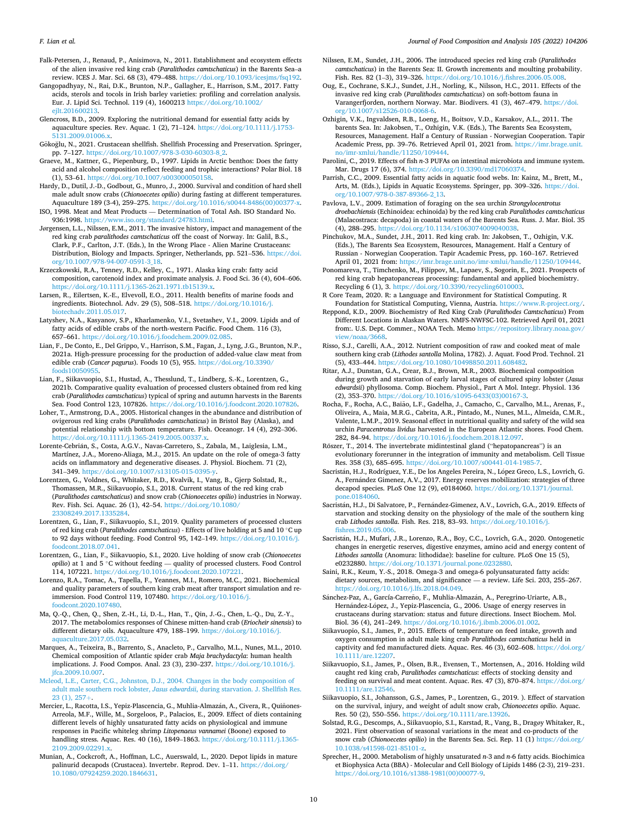<span id="page-9-0"></span>*F. Lian et al.* 

- Falk-Petersen, J., Renaud, P., Anisimova, N., 2011. Establishment and ecosystem effects of the alien invasive red king crab (*Paralithodes camtschaticus*) in the Barents Sea–a review. ICES J. Mar. Sci. 68 (3), 479–488. [https://doi.org/10.1093/icesjms/fsq192.](https://doi.org/10.1093/icesjms/fsq192)
- Gangopadhyay, N., Rai, D.K., Brunton, N.P., Gallagher, E., Harrison, S.M., 2017. Fatty acids, sterols and tocols in Irish barley varieties: profiling and correlation analysis. Eur. J. Lipid Sci. Technol. 119 (4), 1600213 [https://doi.org/10.1002/](https://doi.org/10.1002/ejlt.201600213)
- [ejlt.201600213.](https://doi.org/10.1002/ejlt.201600213) Glencross, B.D., 2009. Exploring the nutritional demand for essential fatty acids by aquaculture species. Rev. Aquac. 1 (2), 71–124. [https://doi.org/10.1111/j.1753-](https://doi.org/10.1111/j.1753-5131.2009.01006.x)  [5131.2009.01006.x.](https://doi.org/10.1111/j.1753-5131.2009.01006.x)
- Gökoğlu, N., 2021. Crustacean shellfish. Shellfish Processing and Preservation. Springer, pp. 7–127. [https://doi.org/10.1007/978-3-030-60303-8\\_2](https://doi.org/10.1007/978-3-030-60303-8_2).
- Graeve, M., Kattner, G., Piepenburg, D., 1997. Lipids in Arctic benthos: Does the fatty acid and alcohol composition reflect feeding and trophic interactions? Polar Biol. 18 (1), 53–61. [https://doi.org/10.1007/s003000050158.](https://doi.org/10.1007/s003000050158)
- Hardy, D., Dutil, J.-D., Godbout, G., Munro, J., 2000. Survival and condition of hard shell male adult snow crabs (*Chionoecetes opilio*) during fasting at different temperatures. Aquaculture 189 (3-4), 259–275. [https://doi.org/10.1016/s0044-8486\(00\)00377-x.](https://doi.org/10.1016/s0044-8486(00)00377-x)
- ISO, 1998. Meat and Meat Products Determination of Total Ash. ISO Standard No. 936:1998. [https://www.iso.org/standard/24783.html.](https://www.iso.org/standard/24783.html)
- Jørgensen, L.L., Nilssen, E.M., 2011. The invasive history, impact and management of the red king crab *paralithodes camtschaticus* off the coast of Norway. In: Galil, B.S., Clark, P.F., Carlton, J.T. (Eds.), In the Wrong Place - Alien Marine Crustaceans: Distribution, Biology and Impacts. Springer, Netherlands, pp. 521–536. [https://doi.](https://doi.org/10.1007/978-94-007-0591-3_18)  [org/10.1007/978-94-007-0591-3\\_18.](https://doi.org/10.1007/978-94-007-0591-3_18)
- Krzeczkowski, R.A., Tenney, R.D., Kelley, C., 1971. Alaska king crab: fatty acid composition, carotenoid index and proximate analysis. J. Food Sci. 36 (4), 604–606. <https://doi.org/10.1111/j.1365-2621.1971.tb15139.x>.
- Larsen, R., Eilertsen, K.-E., Elvevoll, E.O., 2011. Health benefits of marine foods and ingredients. Biotechnol. Adv. 29 (5), 508–518. [https://doi.org/10.1016/j.](https://doi.org/10.1016/j.biotechadv.2011.05.017)  [biotechadv.2011.05.017](https://doi.org/10.1016/j.biotechadv.2011.05.017).
- Latyshev, N.A., Kasyanov, S.P., Kharlamenko, V.I., Svetashev, V.I., 2009. Lipids and of fatty acids of edible crabs of the north-western Pacific. Food Chem. 116 (3), 657–661. <https://doi.org/10.1016/j.foodchem.2009.02.085>.
- Lian, F., De Conto, E., Del Grippo, V., Harrison, S.M., Fagan, J., Lyng, J.G., Brunton, N.P., 2021a. High-pressure processing for the production of added-value claw meat from edible crab (*Cancer pagurus*). Foods 10 (5), 955. [https://doi.org/10.3390/](https://doi.org/10.3390/foods10050955) [foods10050955](https://doi.org/10.3390/foods10050955).
- Lian, F., Siikavuopio, S.I., Hustad, A., Thesslund, T., Lindberg, S.-K., Lorentzen, G., 2021b. Comparative quality evaluation of processed clusters obtained from red king crab (*Paralithodes camtschaticus*) typical of spring and autumn harvests in the Barents Sea. Food Control 123, 107826. <https://doi.org/10.1016/j.foodcont.2020.107826>.
- Loher, T., Armstrong, D.A., 2005. Historical changes in the abundance and distribution of ovigerous red king crabs (*Paralithodes camtschaticus*) in Bristol Bay (Alaska), and potential relationship with bottom temperature. Fish. Oceanogr. 14 (4), 292–306. [https://doi.org/10.1111/j.1365-2419.2005.00337.x.](https://doi.org/10.1111/j.1365-2419.2005.00337.x)
- Lorente-Cebrián, S., Costa, A.G.V., Navas-Carretero, S., Zabala, M., Laiglesia, L.M., Martínez, J.A., Moreno-Aliaga, M.J., 2015. An update on the role of omega-3 fatty acids on inflammatory and degenerative diseases. J. Physiol. Biochem. 71 (2), 341–349. <https://doi.org/10.1007/s13105-015-0395-y>.
- Lorentzen, G., Voldnes, G., Whitaker, R.D., Kvalvik, I., Vang, B., Gjerp Solstad, R., Thomassen, M.R., Siikavuopio, S.I., 2018. Current status of the red king crab (*Paralithodes camtschaticus*) and snow crab (*Chionoecetes opilio*) industries in Norway. Rev. Fish. Sci. Aquac. 26 (1), 42–54. [https://doi.org/10.1080/](https://doi.org/10.1080/23308249.2017.1335284) [23308249.2017.1335284](https://doi.org/10.1080/23308249.2017.1335284).
- Lorentzen, G., Lian, F., Siikavuopio, S.I., 2019. Quality parameters of processed clusters of red king crab (*Paralithodes camtschaticus*) - Effects of live holding at 5 and 10 ◦C up to 92 days without feeding. Food Control 95, 142–149. [https://doi.org/10.1016/j.](https://doi.org/10.1016/j.foodcont.2018.07.041)  [foodcont.2018.07.041](https://doi.org/10.1016/j.foodcont.2018.07.041).
- Lorentzen, G., Lian, F., Siikavuopio, S.I., 2020. Live holding of snow crab (*Chionoecetes opilio*) at 1 and 5 ◦C without feeding — quality of processed clusters. Food Control 114, 107221. <https://doi.org/10.1016/j.foodcont.2020.107221>.
- Lorenzo, R.A., Tomac, A., Tapella, F., Yeannes, M.I., Romero, M.C., 2021. Biochemical and quality parameters of southern king crab meat after transport simulation and reimmersion. Food Control 119, 107480. [https://doi.org/10.1016/j.](https://doi.org/10.1016/j.foodcont.2020.107480) oodcont.2020.107480.
- Ma, Q.-Q., Chen, Q., Shen, Z.-H., Li, D.-L., Han, T., Qin, J.-G., Chen, L.-Q., Du, Z.-Y., 2017. The metabolomics responses of Chinese mitten-hand crab (*Eriocheir sinensis*) to different dietary oils. Aquaculture 479, 188–199. [https://doi.org/10.1016/j.](https://doi.org/10.1016/j.aquaculture.2017.05.032)  $quadrature.2017.05.032$
- Marques, A., Teixeira, B., Barrento, S., Anacleto, P., Carvalho, M.L., Nunes, M.L., 2010. Chemical composition of Atlantic spider crab *Maja brachydactyla*: human health implications. J. Food Compos. Anal. 23 (3), 230–237. [https://doi.org/10.1016/j.](https://doi.org/10.1016/j.jfca.2009.10.007) [jfca.2009.10.007](https://doi.org/10.1016/j.jfca.2009.10.007).
- [Mcleod, L.E., Carter, C.G., Johnston, D.J., 2004. Changes in the body composition of](http://refhub.elsevier.com/S0889-1575(21)00406-3/sbref0235)  adult male southern rock lobster, *Jasus edwardsii*[, during starvation. J. Shellfish Res.](http://refhub.elsevier.com/S0889-1575(21)00406-3/sbref0235)  [23 \(1\), 257](http://refhub.elsevier.com/S0889-1575(21)00406-3/sbref0235)+.
- Mercier, L., Racotta, I.S., Yepiz-Plascencia, G., Muhlia-Almazán, A., Civera, R., Quiñones-Arreola, M.F., Wille, M., Sorgeloos, P., Palacios, E., 2009. Effect of diets containing different levels of highly unsaturated fatty acids on physiological and immune responses in Pacific whiteleg shrimp *Litopenaeus vannamei* (Boone) exposed to handling stress. Aquac. Res. 40 (16), 1849–1863. [https://doi.org/10.1111/j.1365-](https://doi.org/10.1111/j.1365-2109.2009.02291.x)  [2109.2009.02291.x.](https://doi.org/10.1111/j.1365-2109.2009.02291.x)
- Munian, A., Cockcroft, A., Hoffman, L.C., Auerswald, L., 2020. Depot lipids in mature palinurid decapods (Crustacea). Invertebr. Reprod. Dev. 1–11. [https://doi.org/](https://doi.org/10.1080/07924259.2020.1846631) [10.1080/07924259.2020.1846631.](https://doi.org/10.1080/07924259.2020.1846631)
- Nilssen, E.M., Sundet, J.H., 2006. The introduced species red king crab (*Paralithodes camtschaticus*) in the Barents Sea: II. Growth increments and moulting probability. Fish. Res. 82 (1–3), 319–326. <https://doi.org/10.1016/j.fishres.2006.05.008>.
- Oug, E., Cochrane, S.K.J., Sundet, J.H., Norling, K., Nilsson, H.C., 2011. Effects of the invasive red king crab (*Paralithodes camtschaticus*) on soft-bottom fauna in Varangerfjorden, northern Norway. Mar. Biodivers. 41 (3), 467–479. [https://doi.](https://doi.org/10.1007/s12526-010-0068-6)  [org/10.1007/s12526-010-0068-6.](https://doi.org/10.1007/s12526-010-0068-6)
- Ozhigin, V.K., Ingvaldsen, R.B., Loeng, H., Boitsov, V.D., Karsakov, A.L., 2011. The barents Sea. In: Jakobsen, T., Ozhigin, V.K. (Eds.), The Barents Sea Ecosystem, Resources, Management. Half a Century of Russian - Norwegian Cooperation. Tapir Academic Press, pp. 39-76. Retrieved April 01, 2021 from. https://imr.brage.un [no/imr-xmlui/handle/11250/109444.](https://imr.brage.unit.no/imr-xmlui/handle/11250/109444)
- Parolini, C., 2019. Effects of fish *n*-3 PUFAs on intestinal microbiota and immune system. Mar. Drugs 17 (6), 374. <https://doi.org/10.3390/md17060374>.
- Parrish, C.C., 2009. Essential fatty acids in aquatic food webs. In: Kainz, M., Brett, M., Arts, M. (Eds.), Lipids in Aquatic Ecosystems. Springer, pp. 309–326. [https://doi.](https://doi.org/10.1007/978-0-387-89366-2_13)  [org/10.1007/978-0-387-89366-2\\_13.](https://doi.org/10.1007/978-0-387-89366-2_13)
- Pavlova, L.V., 2009. Estimation of foraging on the sea urchin *Strongylocentrotus droebachiensis* (Echinoidea: echinoida) by the red king crab *Paralithodes camtschaticus*  (Malacostraca: decapoda) in coastal waters of the Barents Sea. Russ. J. Mar. Biol. 35 (4), 288–295.<https://doi.org/10.1134/s1063074009040038>.
- Pinchukov, M.A., Sundet, J.H., 2011. Red king crab. In: Jakobsen, T., Ozhigin, V.K. (Eds.), The Barents Sea Ecosystem, Resources, Management. Half a Century of Russian - Norwegian Cooperation. Tapir Academic Press, pp. 160–167. Retrieved April 01, 2021 from: <https://imr.brage.unit.no/imr-xmlui/handle/11250/109444>.
- Ponomareva, T., Timchenko, M., Filippov, M., Lapaev, S., Sogorin, E., 2021. Prospects of red king crab hepatopancreas processing: fundamental and applied biochemistry. Recycling 6 (1), 3. <https://doi.org/10.3390/recycling6010003>.
- R Core Team, 2020. R: a Language and Environment for Statistical Computing. R Foundation for Statistical Computing, Vienna, Austria. [https://www.R-project.org/.](https://www.R-project.org/)
- Reppond, K.D., 2009. Biochemistry of Red King Crab (*Paralithodes Camtschaticus*) From Different Locations in Alaskan Waters. NMFS-NWFSC-102. Retrieved April 01, 2021 from:. U.S. Dept. Commer., NOAA Tech. Memo [https://repository.library.noaa.gov/](https://repository.library.noaa.gov/view/noaa/3668)  [view/noaa/3668](https://repository.library.noaa.gov/view/noaa/3668).
- Risso, S.J., Carelli, A.A., 2012. Nutrient composition of raw and cooked meat of male southern king crab (*Lithodes santolla* Molina, 1782). J. Aquat. Food Prod. Technol. 21 (5), 433–444.<https://doi.org/10.1080/10498850.2011.608482>.
- Ritar, A.J., Dunstan, G.A., Crear, B.J., Brown, M.R., 2003. Biochemical composition during growth and starvation of early larval stages of cultured spiny lobster (*Jasus edwardsii*) phyllosoma. Comp. Biochem. Physiol., Part A Mol. Integr. Physiol. 136 (2), 353–370. [https://doi.org/10.1016/s1095-6433\(03\)00167-3](https://doi.org/10.1016/s1095-6433(03)00167-3).
- Rocha, F., Rocha, A.C., Baião, L.F., Gadelha, J., Camacho, C., Carvalho, M.L., Arenas, F., Oliveira, A., Maia, M.R.G., Cabrita, A.R., Pintado, M., Nunes, M.L., Almeida, C.M.R., Valente, L.M.P., 2019. Seasonal effect in nutritional quality and safety of the wild sea urchin *Paracentrotus lividus* harvested in the European Atlantic shores. Food Chem. 282, 84–94. [https://doi.org/10.1016/j.foodchem.2018.12.097.](https://doi.org/10.1016/j.foodchem.2018.12.097)
- Rőszer, T., 2014. The invertebrate midintestinal gland ("hepatopancreas") is an evolutionary forerunner in the integration of immunity and metabolism. Cell Tissue Res. 358 (3), 685–695. <https://doi.org/10.1007/s00441-014-1985-7>.
- Sacristán, H.J., Rodríguez, Y.E., De los Angeles Pereira, N., López Greco, L.S., Lovrich, G. A., Fernández Gimenez, A.V., 2017. Energy reserves mobilization: strategies of three decapod species. PLoS One 12 (9), e0184060. [https://doi.org/10.1371/journal.](https://doi.org/10.1371/journal.pone.0184060)  [pone.0184060](https://doi.org/10.1371/journal.pone.0184060).
- Sacristán, H.J., Di Salvatore, P., Fernández-Gimenez, A.V., Lovrich, G.A., 2019. Effects of starvation and stocking density on the physiology of the male of the southern king crab *Lithodes santolla*. Fish. Res. 218, 83–93. [https://doi.org/10.1016/j.](https://doi.org/10.1016/j.fishres.2019.05.006)  [fishres.2019.05.006.](https://doi.org/10.1016/j.fishres.2019.05.006)
- Sacristán, H.J., Mufari, J.R., Lorenzo, R.A., Boy, C.C., Lovrich, G.A., 2020. Ontogenetic changes in energetic reserves, digestive enzymes, amino acid and energy content of *Lithodes santolla* (Anomura: lithodidae): baseline for culture. PLoS One 15 (5), e0232880. <https://doi.org/10.1371/journal.pone.0232880>.
- Saini, R.K., Keum, Y.-S., 2018. Omega-3 and omega-6 polyunsaturated fatty acids: dietary sources, metabolism, and significance — a review. Life Sci. 203, 255–267. <https://doi.org/10.1016/j.lfs.2018.04.049>.
- Sánchez-Paz, A., García-Carreño, F., Muhlia-Almazán, A., Peregrino-Uriarte, A.B., Hernández-López, J., Yepiz-Plascencia, G., 2006. Usage of energy reserves in crustaceans during starvation: status and future directions. Insect Biochem. Mol. Biol. 36 (4), 241–249. <https://doi.org/10.1016/j.ibmb.2006.01.002>.
- Siikavuopio, S.I., James, P., 2015. Effects of temperature on feed intake, growth and oxygen consumption in adult male king crab *Paralithodes camtschaticus* held in captivity and fed manufactured diets. Aquac. Res. 46 (3), 602–608. [https://doi.org/](https://doi.org/10.1111/are.12207)  [10.1111/are.12207.](https://doi.org/10.1111/are.12207)
- Siikavuopio, S.I., James, P., Olsen, B.R., Evensen, T., Mortensen, A., 2016. Holding wild caught red king crab, *Paralithodes camtschaticus*: effects of stocking density and feeding on survival and meat content. Aquac. Res. 47 (3), 870–874. [https://doi.org/](https://doi.org/10.1111/are.12546)  [10.1111/are.12546.](https://doi.org/10.1111/are.12546)
- Siikavuopio, S.I., Johansson, G.S., James, P., Lorentzen, G., 2019. ). Effect of starvation on the survival, injury, and weight of adult snow crab, *Chionoecetes opilio*. Aquac. Res. 50 (2), 550–556. [https://doi.org/10.1111/are.13926.](https://doi.org/10.1111/are.13926)
- Solstad, R.G., Descomps, A., Siikavuopio, S.I., Karstad, R., Vang, B., Dragøy Whitaker, R., 2021. First observation of seasonal variations in the meat and co-products of the snow crab (*Chionoecetes opilio*) in the Barents Sea. Sci. Rep. 11 (1) [https://doi.org/](https://doi.org/10.1038/s41598-021-85101-z) [10.1038/s41598-021-85101-z](https://doi.org/10.1038/s41598-021-85101-z).
- Sprecher, H., 2000. Metabolism of highly unsaturated *n*-3 and *n*-6 fatty acids. Biochimica et Biophysica Acta (BBA) - Molecular and Cell Biology of Lipids 1486 (2-3), 219–231. [https://doi.org/10.1016/s1388-1981\(00\)00077-9](https://doi.org/10.1016/s1388-1981(00)00077-9).